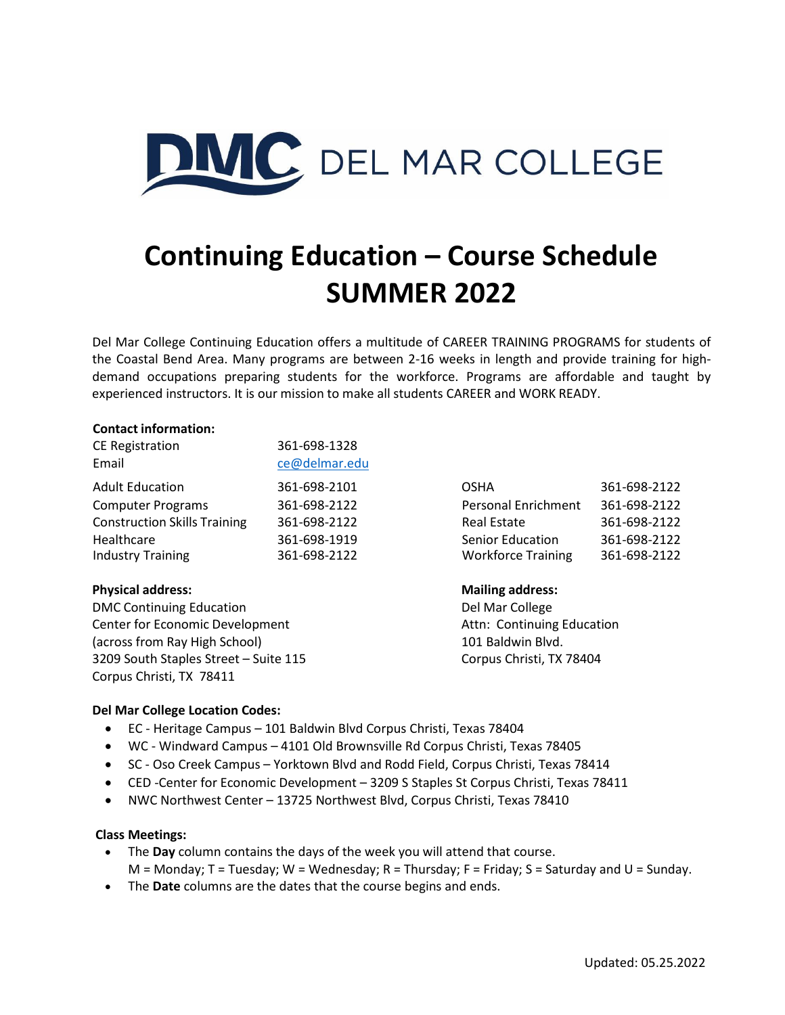

# **Continuing Education – Course Schedule SUMMER 2022**

Del Mar College Continuing Education offers a multitude of CAREER TRAINING PROGRAMS for students of the Coastal Bend Area. Many programs are between 2-16 weeks in length and provide training for highdemand occupations preparing students for the workforce. Programs are affordable and taught by experienced instructors. It is our mission to make all students CAREER and WORK READY.

#### **Contact information:**

| CE Registration                     | 361-698-1328  |                            |              |
|-------------------------------------|---------------|----------------------------|--------------|
| Email                               | ce@delmar.edu |                            |              |
| <b>Adult Education</b>              | 361-698-2101  | <b>OSHA</b>                | 361-698-2122 |
| <b>Computer Programs</b>            | 361-698-2122  | <b>Personal Enrichment</b> | 361-698-2122 |
| <b>Construction Skills Training</b> | 361-698-2122  | <b>Real Estate</b>         | 361-698-2122 |
| Healthcare                          | 361-698-1919  | <b>Senior Education</b>    | 361-698-2122 |
| <b>Industry Training</b>            | 361-698-2122  | <b>Workforce Training</b>  | 361-698-2122 |

#### **Physical address: Mailing address:**

DMC Continuing Education **DMC** Continuing Education **Del Marcollege** Center for Economic Development **Attn: Continuing Education** (across from Ray High School) 101 Baldwin Blvd. 3209 South Staples Street – Suite 115 Corpus Christi, TX 78404 Corpus Christi, TX 78411

| OSHA                       | 361-698-2122 |
|----------------------------|--------------|
| <b>Personal Enrichment</b> | 361-698-2122 |
| <b>Real Estate</b>         | 361-698-2122 |
| <b>Senior Education</b>    | 361-698-2122 |
| <b>Workforce Training</b>  | 361-698-2122 |

#### **Del Mar College Location Codes:**

- EC Heritage Campus 101 Baldwin Blvd Corpus Christi, Texas 78404
- WC Windward Campus 4101 Old Brownsville Rd Corpus Christi, Texas 78405
- SC Oso Creek Campus Yorktown Blvd and Rodd Field, Corpus Christi, Texas 78414
- CED -Center for Economic Development 3209 S Staples St Corpus Christi, Texas 78411
- NWC Northwest Center 13725 Northwest Blvd, Corpus Christi, Texas 78410

#### **Class Meetings:**

- The **Day** column contains the days of the week you will attend that course.  $M = M$ onday; T = Tuesday; W = Wednesday; R = Thursday; F = Friday; S = Saturday and U = Sunday.
- The **Date** columns are the dates that the course begins and ends.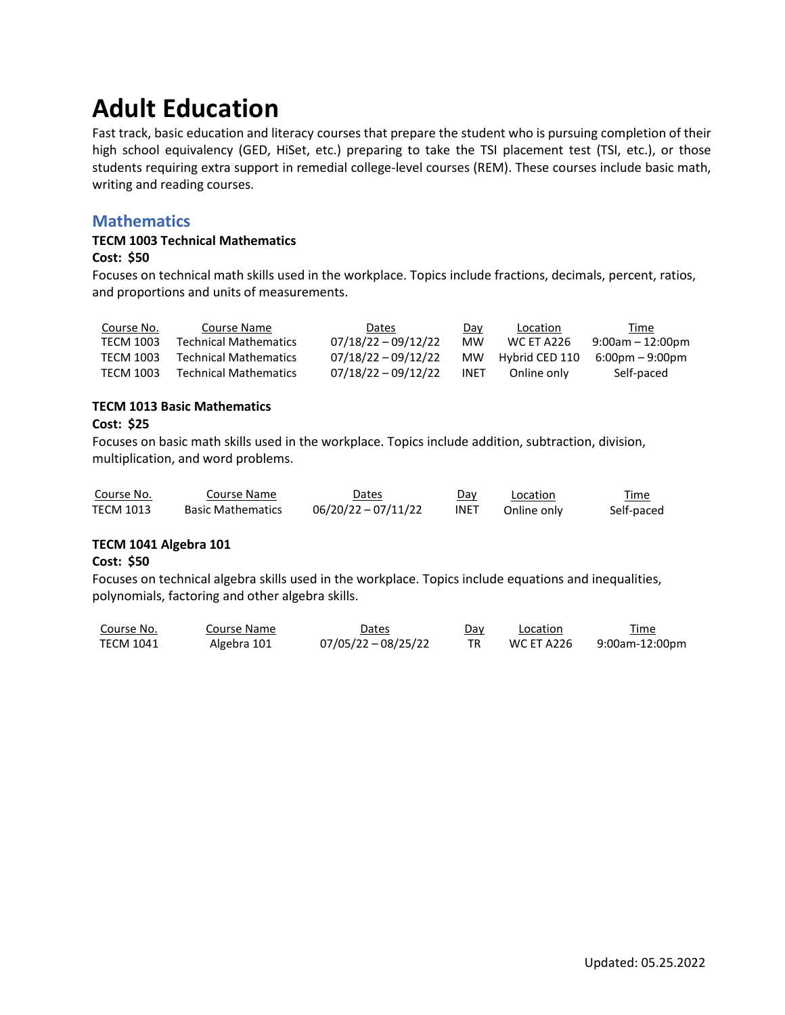# **Adult Education**

Fast track, basic education and literacy courses that prepare the student who is pursuing completion of their high school equivalency (GED, HiSet, etc.) preparing to take the TSI placement test (TSI, etc.), or those students requiring extra support in remedial college-level courses (REM). These courses include basic math, writing and reading courses.

## **Mathematics**

## **TECM 1003 Technical Mathematics**

#### **Cost: \$50**

Focuses on technical math skills used in the workplace. Topics include fractions, decimals, percent, ratios, and proportions and units of measurements.

| Course No.       | Course Name           | Dates                 | Day         | Location          | Time                              |
|------------------|-----------------------|-----------------------|-------------|-------------------|-----------------------------------|
| <b>TECM 1003</b> | Technical Mathematics | $07/18/22 - 09/12/22$ | MW          | <b>WC ET A226</b> | $9:00am - 12:00pm$                |
| <b>TECM 1003</b> | Technical Mathematics | $07/18/22 - 09/12/22$ | MW.         | Hybrid CED 110    | $6:00 \text{pm} - 9:00 \text{pm}$ |
| <b>TECM 1003</b> | Technical Mathematics | 07/18/22 - 09/12/22   | <b>INET</b> | Online only       | Self-paced                        |

#### **TECM 1013 Basic Mathematics**

## **Cost: \$25**

Focuses on basic math skills used in the workplace. Topics include addition, subtraction, division, multiplication, and word problems.

| Course No.       | Course Name              | Dates                 | Day         | Location    | Time<br><u> The Communication of the Communication of the Communication of the Communication of the Communication of the Communication of the Communication of the Communication of the Communication of the Communication of the Commun</u> |
|------------------|--------------------------|-----------------------|-------------|-------------|----------------------------------------------------------------------------------------------------------------------------------------------------------------------------------------------------------------------------------------------|
| <b>TECM 1013</b> | <b>Basic Mathematics</b> | $06/20/22 - 07/11/22$ | <b>INET</b> | Online only | Self-paced                                                                                                                                                                                                                                   |

#### **TECM 1041 Algebra 101**

#### **Cost: \$50**

Focuses on technical algebra skills used in the workplace. Topics include equations and inequalities, polynomials, factoring and other algebra skills.

| Course No.       | Course Name | <b>Dates</b>        | Day | Location   | Time           |
|------------------|-------------|---------------------|-----|------------|----------------|
| <b>TECM 1041</b> | Algebra 101 | 07/05/22 - 08/25/22 |     | WC ET A226 | 9:00am-12:00pm |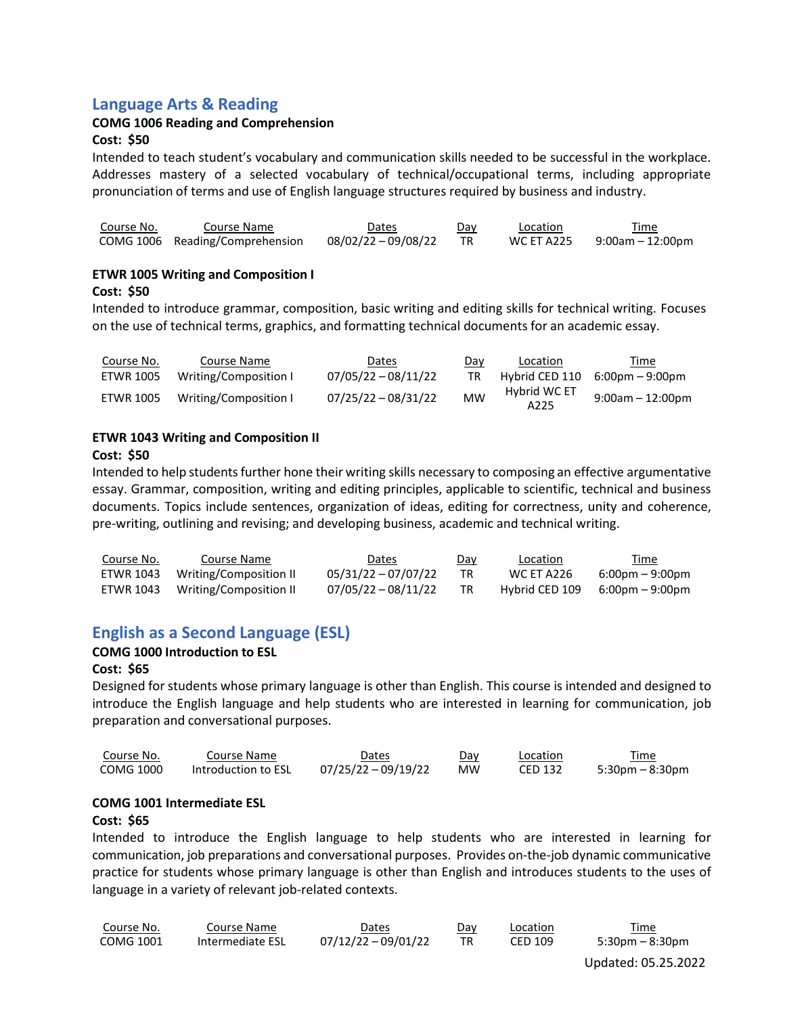## **Language Arts & Reading**

## **COMG 1006 Reading and Comprehension**

#### **Cost: \$50**

Intended to teach student's vocabulary and communication skills needed to be successful in the workplace. Addresses mastery of a selected vocabulary of technical/occupational terms, including appropriate pronunciation of terms and use of English language structures required by business and industry.

| Course No. | Course Name                     | Dates               | Day | Location   | Time             |
|------------|---------------------------------|---------------------|-----|------------|------------------|
|            | COMG 1006 Reading/Comprehension | 08/02/22 - 09/08/22 |     | WC ET A225 | 9:00am – 12:00pm |

#### **ETWR 1005 Writing and Composition I**

#### **Cost: \$50**

Intended to introduce grammar, composition, basic writing and editing skills for technical writing. Focuses on the use of technical terms, graphics, and formatting technical documents for an academic essay.

| Course No. | Course Name           | Dates                 | Day       | Location             | <u>Time</u>        |
|------------|-----------------------|-----------------------|-----------|----------------------|--------------------|
| ETWR 1005  | Writing/Composition I | 07/05/22 - 08/11/22   | <b>TR</b> | Hybrid CED 110       | 6:00pm – 9:00pm    |
| ETWR 1005  | Writing/Composition I | $07/25/22 - 08/31/22$ | <b>MW</b> | Hybrid WC ET<br>A225 | $9:00am - 12:00pm$ |

#### **ETWR 1043 Writing and Composition II**

#### **Cost: \$50**

Intended to help studentsfurther hone their writing skills necessary to composing an effective argumentative essay. Grammar, composition, writing and editing principles, applicable to scientific, technical and business documents. Topics include sentences, organization of ideas, editing for correctness, unity and coherence, pre-writing, outlining and revising; and developing business, academic and technical writing.

| Course No. | Course Name            | Dates               | <u>Day</u> | <b>Location</b> | <u>Time</u>                       |
|------------|------------------------|---------------------|------------|-----------------|-----------------------------------|
| ETWR 1043  | Writing/Composition II | 05/31/22 - 07/07/22 |            | WC ET A226      | $6:00 \text{pm} - 9:00 \text{pm}$ |
| ETWR 1043  | Writing/Composition II | 07/05/22 - 08/11/22 |            | Hybrid CED 109  | $6:00 \text{pm} - 9:00 \text{pm}$ |

# **English as a Second Language (ESL)**

## **COMG 1000 Introduction to ESL**

#### **Cost: \$65**

Designed for students whose primary language is other than English. This course is intended and designed to introduce the English language and help students who are interested in learning for communication, job preparation and conversational purposes.

| Course No. | Course Name         | Dates               | Dav       | Location | Time               |
|------------|---------------------|---------------------|-----------|----------|--------------------|
| COMG 1000  | Introduction to ESL | 07/25/22 - 09/19/22 | <b>MW</b> | CED 132  | $5:30$ pm – 8:30pm |

#### **COMG 1001 Intermediate ESL**

#### **Cost: \$65**

Intended to introduce the English language to help students who are interested in learning for communication, job preparations and conversational purposes. Provides on-the-job dynamic communicative practice for students whose primary language is other than English and introduces students to the uses of language in a variety of relevant job-related contexts.

| Course No.       | Course Name      | Dates               | Day | Location       | Time            |
|------------------|------------------|---------------------|-----|----------------|-----------------|
| <b>COMG 1001</b> | Intermediate ESL | 07/12/22 - 09/01/22 |     | <b>CED 109</b> | 5:30pm – 8:30pm |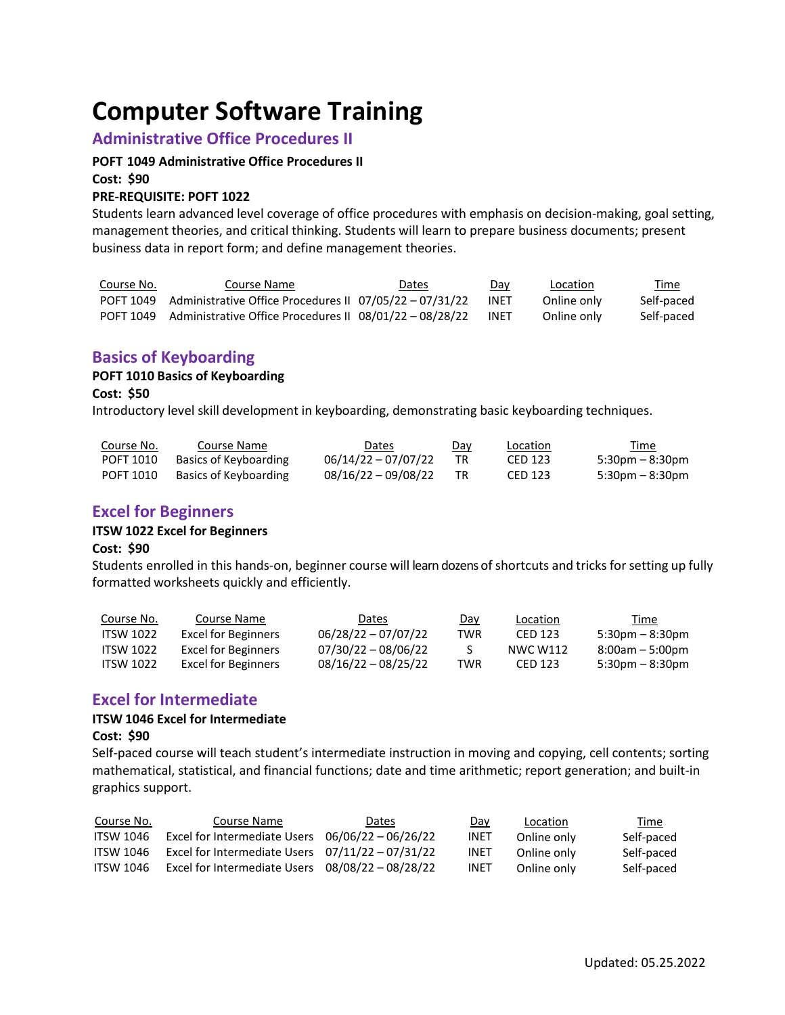# **Computer Software Training**

## **Administrative Office Procedures II**

#### **POFT 1049 Administrative Office Procedures II**

**Cost: \$90**

#### **PRE-REQUISITE: POFT 1022**

Students learn advanced level coverage of office procedures with emphasis on decision-making, goal setting, management theories, and critical thinking. Students will learn to prepare business documents; present business data in report form; and define management theories.

| Course No. | Course Name                                                       | <b>Dates</b> | Day  | Location    | Time       |
|------------|-------------------------------------------------------------------|--------------|------|-------------|------------|
|            | POFT 1049 Administrative Office Procedures II 07/05/22 - 07/31/22 |              | INET | Online only | Self-paced |
|            | POFT 1049 Administrative Office Procedures II 08/01/22 - 08/28/22 |              | INET | Online only | Self-paced |

## **Basics of Keyboarding**

#### **POFT 1010 Basics of Keyboarding**

**Cost: \$50**

Introductory level skill development in keyboarding, demonstrating basic keyboarding techniques.

| Course No. | Course Name           | Dates                 | Day | Location | Time                  |
|------------|-----------------------|-----------------------|-----|----------|-----------------------|
| POFT 1010  | Basics of Keyboarding | $06/14/22 - 07/07/22$ |     | CED 123  | $5:30$ pm – 8:30pm    |
| POFT 1010  | Basics of Keyboarding | $08/16/22 - 09/08/22$ |     | CED 123  | $5:30$ pm – $8:30$ pm |

## **Excel for Beginners**

#### **ITSW 1022 Excel for Beginners**

#### **Cost: \$90**

Students enrolled in this hands-on, beginner course will learn dozens of shortcuts and tricks for setting up fully formatted worksheets quickly and efficiently.

| Course No.       | Course Name         | Dates                 | Day | Location | Time               |
|------------------|---------------------|-----------------------|-----|----------|--------------------|
| <b>ITSW 1022</b> | Excel for Beginners | $06/28/22 - 07/07/22$ | TWR | CED 123  | $5:30$ pm – 8:30pm |
| <b>ITSW 1022</b> | Excel for Beginners | 07/30/22 - 08/06/22   |     | NWC W112 | $8:00am - 5:00dm$  |
| <b>ITSW 1022</b> | Excel for Beginners | $08/16/22 - 08/25/22$ | TWR | CED 123  | $5:30$ pm – 8:30pm |

## **Excel for Intermediate**

#### **ITSW 1046 Excel for Intermediate**

#### **Cost: \$90**

Self-paced course will teach student's intermediate instruction in moving and copying, cell contents; sorting mathematical, statistical, and financial functions; date and time arithmetic; report generation; and built-in graphics support.

| Course No.       | Course Name                                        | Dates | <u>Day</u>  | Location    | <u>Time</u> |
|------------------|----------------------------------------------------|-------|-------------|-------------|-------------|
| <b>ITSW 1046</b> | Excel for Intermediate Users $06/06/22 - 06/26/22$ |       | <b>INET</b> | Online only | Self-paced  |
| <b>ITSW 1046</b> | Excel for Intermediate Users $07/11/22 - 07/31/22$ |       | <b>INET</b> | Online only | Self-paced  |
| <b>ITSW 1046</b> | Excel for Intermediate Users $08/08/22 - 08/28/22$ |       | <b>INET</b> | Online only | Self-paced  |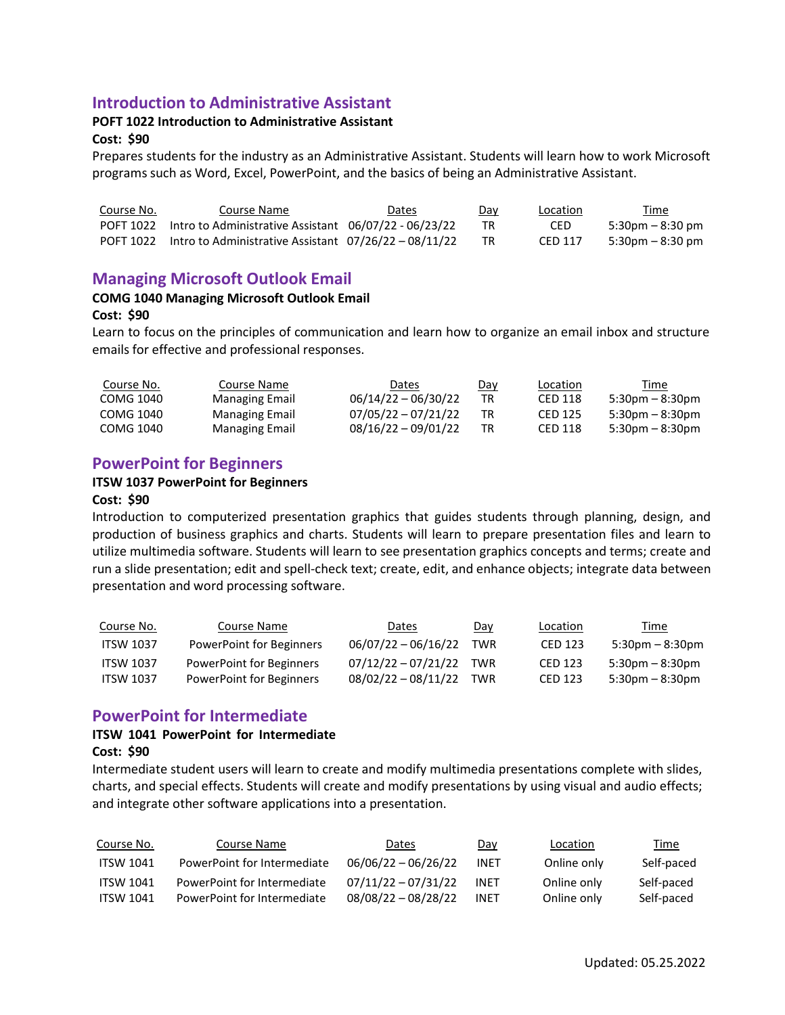## **Introduction to Administrative Assistant**

## **POFT 1022 Introduction to Administrative Assistant**

#### **Cost: \$90**

Prepares students for the industry as an Administrative Assistant. Students will learn how to work Microsoft programs such as Word, Excel, PowerPoint, and the basics of being an Administrative Assistant.

| Course No. | Course Name                                                       | Dates | Day | Location | Time                |
|------------|-------------------------------------------------------------------|-------|-----|----------|---------------------|
|            | POFT 1022 Intro to Administrative Assistant $06/07/22 - 06/23/22$ |       |     | CED.     | $5:30$ pm – 8:30 pm |
|            | POFT 1022 Intro to Administrative Assistant $07/26/22 - 08/11/22$ |       |     | CED 117  | 5:30pm – 8:30 pm    |

## **Managing Microsoft Outlook Email**

#### **COMG 1040 Managing Microsoft Outlook Email**

#### **Cost: \$90**

Learn to focus on the principles of communication and learn how to organize an email inbox and structure emails for effective and professional responses.

| Course No. | Course Name           | Dates                 | Day | Location | Time                  |
|------------|-----------------------|-----------------------|-----|----------|-----------------------|
| COMG 1040  | Managing Email        | $06/14/22 - 06/30/22$ | ТR  | CED 118  | $5:30$ pm – $8:30$ pm |
| COMG 1040  | <b>Managing Email</b> | $07/05/22 - 07/21/22$ | TR  | CED 125  | $5:30pm - 8:30pm$     |
| COMG 1040  | Managing Email        | $08/16/22 - 09/01/22$ |     | CED 118  | $5:30$ pm – $8:30$ pm |

## **PowerPoint for Beginners**

#### **ITSW 1037 PowerPoint for Beginners**

#### **Cost: \$90**

Introduction to computerized presentation graphics that guides students through planning, design, and production of business graphics and charts. Students will learn to prepare presentation files and learn to utilize multimedia software. Students will learn to see presentation graphics concepts and terms; create and run a slide presentation; edit and spell-check text; create, edit, and enhance objects; integrate data between presentation and word processing software.

| Course No.       | Course Name              | Dates                 | Day | Location | Time                 |
|------------------|--------------------------|-----------------------|-----|----------|----------------------|
| <b>ITSW 1037</b> | PowerPoint for Beginners | $06/07/22 - 06/16/22$ | TWR | CED 123  | $5:30pm - 8:30pm$    |
| <b>ITSW 1037</b> | PowerPoint for Beginners | 07/12/22 - 07/21/22   | TWR | CED 123  | $5:30$ pm $-8:30$ pm |
| <b>ITSW 1037</b> | PowerPoint for Beginners | 08/02/22 - 08/11/22   | TWR | CED 123  | 5:30pm – 8:30pm      |

## **PowerPoint for Intermediate**

#### **ITSW 1041 PowerPoint for Intermediate**

#### **Cost: \$90**

Intermediate student users will learn to create and modify multimedia presentations complete with slides, charts, and special effects. Students will create and modify presentations by using visual and audio effects; and integrate other software applications into a presentation.

| Course No.       | Course Name                 | <b>Dates</b>          | Day         | Location    | Time       |
|------------------|-----------------------------|-----------------------|-------------|-------------|------------|
| <b>ITSW 1041</b> | PowerPoint for Intermediate | $06/06/22 - 06/26/22$ | <b>INET</b> | Online only | Self-paced |
| <b>ITSW 1041</b> | PowerPoint for Intermediate | $07/11/22 - 07/31/22$ | <b>INFT</b> | Online only | Self-paced |
| <b>ITSW 1041</b> | PowerPoint for Intermediate | $08/08/22 - 08/28/22$ | <b>INET</b> | Online only | Self-paced |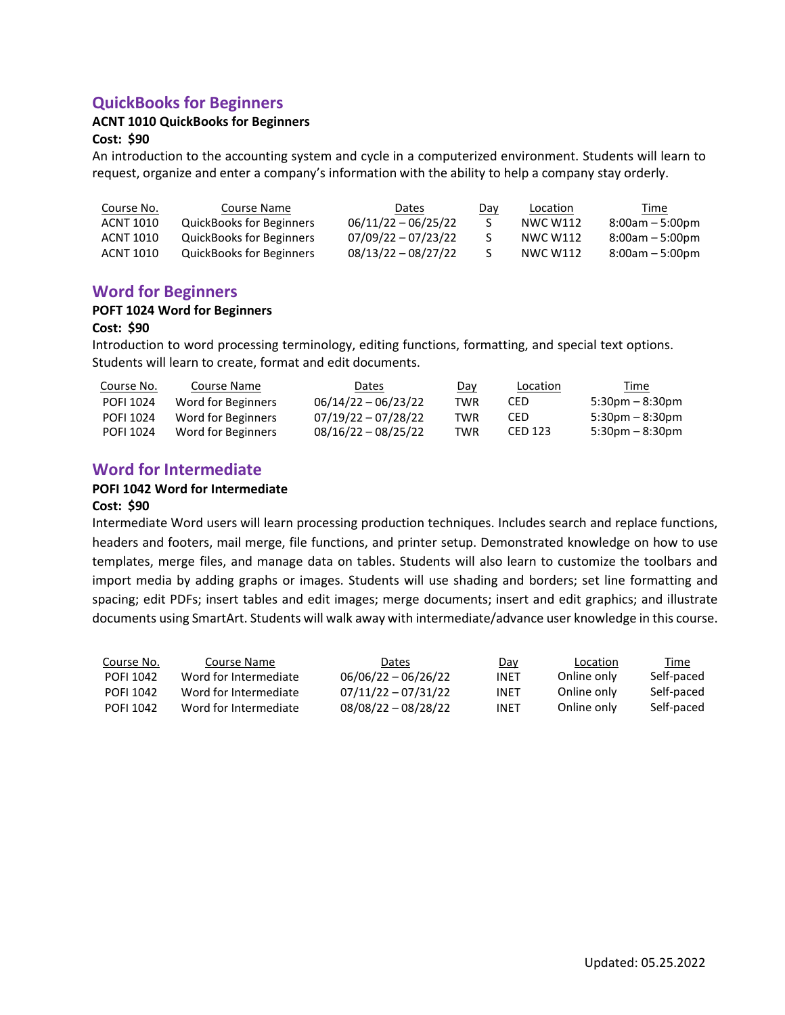# **QuickBooks for Beginners**

#### **ACNT 1010 QuickBooks for Beginners**

#### **Cost: \$90**

An introduction to the accounting system and cycle in a computerized environment. Students will learn to request, organize and enter a company's information with the ability to help a company stay orderly.

| Course No. | Course Name                     | Dates                 | Day | Location        | Time              |
|------------|---------------------------------|-----------------------|-----|-----------------|-------------------|
| ACNT 1010  | QuickBooks for Beginners        | $06/11/22 - 06/25/22$ |     | NWC W112        | $8:00am - 5:00pm$ |
| ACNT 1010  | QuickBooks for Beginners        | $07/09/22 - 07/23/22$ |     | <b>NWC W112</b> | $8:00am - 5:00pm$ |
| ACNT 1010  | <b>QuickBooks for Beginners</b> | $08/13/22 - 08/27/22$ |     | NWC W112        | $8:00am - 5:00pm$ |

## **Word for Beginners**

#### **POFT 1024 Word for Beginners**

#### **Cost: \$90**

Introduction to word processing terminology, editing functions, formatting, and special text options. Students will learn to create, format and edit documents.

| Course No.       | Course Name        | Dates                 | Day | Location | Time                              |
|------------------|--------------------|-----------------------|-----|----------|-----------------------------------|
| <b>POFI 1024</b> | Word for Beginners | $06/14/22 - 06/23/22$ | TWR | CED      | $5:30 \text{pm} - 8:30 \text{pm}$ |
| <b>POFI 1024</b> | Word for Beginners | $07/19/22 - 07/28/22$ | TWR | CED      | $5:30 \text{pm} - 8:30 \text{pm}$ |
| <b>POFI 1024</b> | Word for Beginners | $08/16/22 - 08/25/22$ | TWR | CED 123  | $5:30 \text{pm} - 8:30 \text{pm}$ |

## **Word for Intermediate**

#### **POFI 1042 Word for Intermediate**

#### **Cost: \$90**

Intermediate Word users will learn processing production techniques. Includes search and replace functions, headers and footers, mail merge, file functions, and printer setup. Demonstrated knowledge on how to use templates, merge files, and manage data on tables. Students will also learn to customize the toolbars and import media by adding graphs or images. Students will use shading and borders; set line formatting and spacing; edit PDFs; insert tables and edit images; merge documents; insert and edit graphics; and illustrate documents using SmartArt. Students will walk away with intermediate/advance user knowledge in this course.

| Course No.       | Course Name           | Dates                 | Day  | Location    | Time       |
|------------------|-----------------------|-----------------------|------|-------------|------------|
| POFI 1042        | Word for Intermediate | $06/06/22 - 06/26/22$ | INET | Online only | Self-paced |
| POFI 1042        | Word for Intermediate | $07/11/22 - 07/31/22$ | INET | Online only | Self-paced |
| <b>POFI 1042</b> | Word for Intermediate | $08/08/22 - 08/28/22$ | INET | Online only | Self-paced |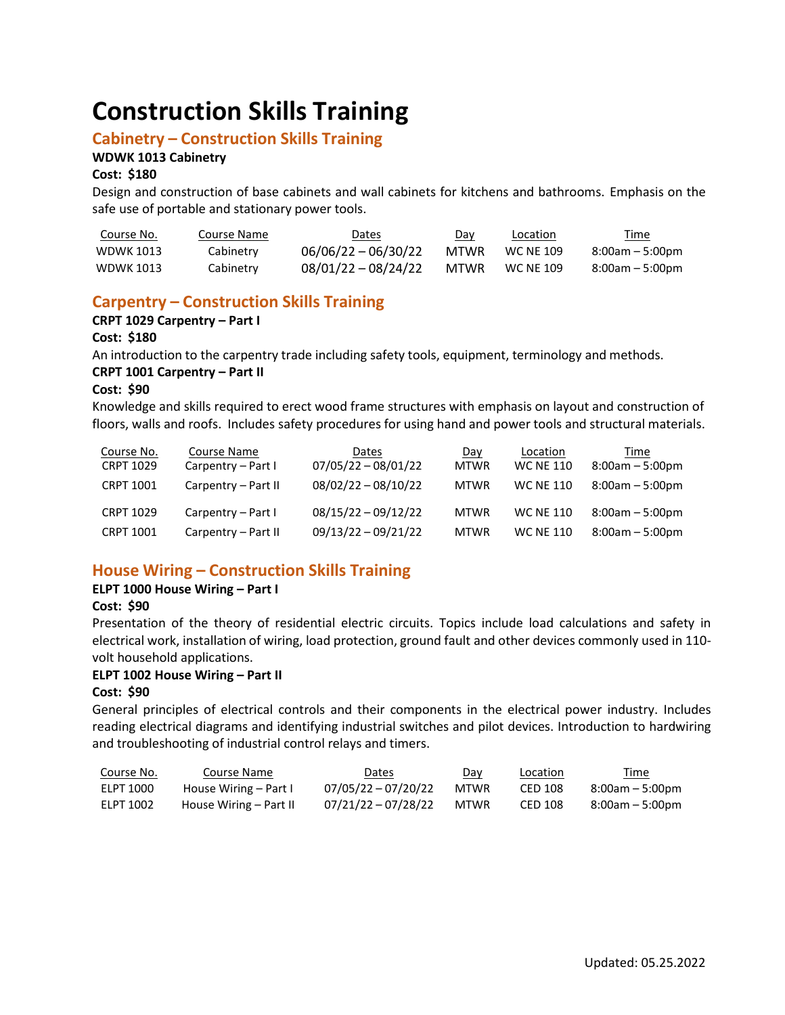# **Construction Skills Training**

## **Cabinetry – Construction Skills Training**

## **WDWK 1013 Cabinetry**

#### **Cost: \$180**

Design and construction of base cabinets and wall cabinets for kitchens and bathrooms. Emphasis on the safe use of portable and stationary power tools.

| Course No.       | Course Name | Dates                 | Day         | Location         | Time            |
|------------------|-------------|-----------------------|-------------|------------------|-----------------|
| <b>WDWK 1013</b> | Cabinetry   | $06/06/22 - 06/30/22$ | <b>MTWR</b> | <b>WC NE 109</b> | 8:00am – 5:00pm |
| <b>WDWK 1013</b> | Cabinetry   | $08/01/22 - 08/24/22$ | <b>MTWR</b> | <b>WC NE 109</b> | 8:00am – 5:00pm |

## **Carpentry – Construction Skills Training**

## **CRPT 1029 Carpentry – Part I**

## **Cost: \$180**

An introduction to the carpentry trade including safety tools, equipment, terminology and methods.

#### **CRPT 1001 Carpentry – Part II**

#### **Cost: \$90**

Knowledge and skills required to erect wood frame structures with emphasis on layout and construction of floors, walls and roofs. Includes safety procedures for using hand and power tools and structural materials.

| Course No.<br><b>CRPT 1029</b> | Course Name<br>Carpentry - Part I | Dates<br>$07/05/22 - 08/01/22$ | <u>Day</u><br><b>MTWR</b> | Location<br><b>WC NE 110</b> | Time<br>$8:00am - 5:00pm$ |
|--------------------------------|-----------------------------------|--------------------------------|---------------------------|------------------------------|---------------------------|
| <b>CRPT 1001</b>               | Carpentry - Part II               | $08/02/22 - 08/10/22$          | <b>MTWR</b>               | <b>WC NE 110</b>             | $8:00am - 5:00pm$         |
| <b>CRPT 1029</b>               | Carpentry - Part I                | $08/15/22 - 09/12/22$          | <b>MTWR</b>               | <b>WC NE 110</b>             | $8:00am - 5:00pm$         |
| <b>CRPT 1001</b>               | Carpentry - Part II               | $09/13/22 - 09/21/22$          | <b>MTWR</b>               | <b>WC NE 110</b>             | $8:00am - 5:00pm$         |

# **House Wiring – Construction Skills Training**

#### **ELPT 1000 House Wiring – Part I**

#### **Cost: \$90**

Presentation of the theory of residential electric circuits. Topics include load calculations and safety in electrical work, installation of wiring, load protection, ground fault and other devices commonly used in 110 volt household applications.

#### **ELPT 1002 House Wiring – Part II**

#### **Cost: \$90**

General principles of electrical controls and their components in the electrical power industry. Includes reading electrical diagrams and identifying industrial switches and pilot devices. Introduction to hardwiring and troubleshooting of industrial control relays and timers.

| <u>Course No.</u> | Course Name            | Dates                 | Day  | <b>Location</b> | Time            |
|-------------------|------------------------|-----------------------|------|-----------------|-----------------|
| ELPT 1000         | House Wiring – Part I  | $07/05/22 - 07/20/22$ | MTWR | CED 108         | 8:00am – 5:00pm |
| ELPT 1002         | House Wiring – Part II | 07/21/22 - 07/28/22   | MTWR | CED 108         | 8:00am – 5:00pm |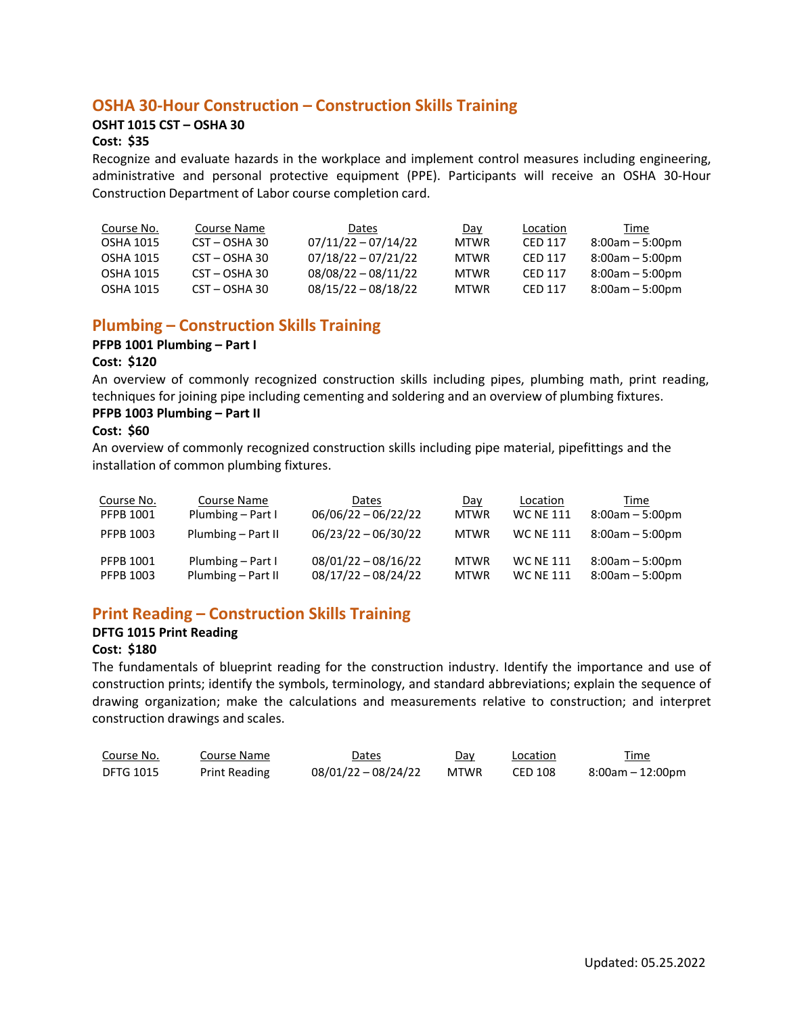## **OSHA 30-Hour Construction – Construction Skills Training**

### **OSHT 1015 CST – OSHA 30**

### **Cost: \$35**

Recognize and evaluate hazards in the workplace and implement control measures including engineering, administrative and personal protective equipment (PPE). Participants will receive an OSHA 30-Hour Construction Department of Labor course completion card.

| Course No. | Course Name   | Dates                 | Day         | Location | Time              |
|------------|---------------|-----------------------|-------------|----------|-------------------|
| OSHA 1015  | CST - OSHA 30 | $07/11/22 - 07/14/22$ | <b>MTWR</b> | CED 117  | $8:00am - 5:00pm$ |
| OSHA 1015  | CST - OSHA 30 | $07/18/22 - 07/21/22$ | <b>MTWR</b> | CFD 117  | 8:00am – 5:00pm   |
| OSHA 1015  | CST – OSHA 30 | $08/08/22 - 08/11/22$ | <b>MTWR</b> | CFD 117  | $8:00am - 5:00dm$ |
| OSHA 1015  | CST - OSHA 30 | $08/15/22 - 08/18/22$ | <b>MTWR</b> | CFD 117  | $8:00am - 5:00dm$ |

# **Plumbing – Construction Skills Training**

#### **PFPB 1001 Plumbing – Part I**

#### **Cost: \$120**

An overview of commonly recognized construction skills including pipes, plumbing math, print reading, techniques for joining pipe including cementing and soldering and an overview of plumbing fixtures. **PFPB 1003 Plumbing – Part II**

### **Cost: \$60**

An overview of commonly recognized construction skills including pipe material, pipefittings and the installation of common plumbing fixtures.

| Course No.                           | Course Name                             | Dates                                          | Day                        | Location                             | Time                                   |
|--------------------------------------|-----------------------------------------|------------------------------------------------|----------------------------|--------------------------------------|----------------------------------------|
| <b>PFPB 1001</b>                     | Plumbing – Part I                       | $06/06/22 - 06/22/22$                          | <b>MTWR</b>                | <b>WC NE 111</b>                     | $8:00am - 5:00pm$                      |
| <b>PFPB 1003</b>                     | Plumbing - Part II                      | $06/23/22 - 06/30/22$                          | <b>MTWR</b>                | <b>WC NE 111</b>                     | $8:00am - 5:00pm$                      |
| <b>PFPB 1001</b><br><b>PFPB 1003</b> | Plumbing - Part I<br>Plumbing - Part II | $08/01/22 - 08/16/22$<br>$08/17/22 - 08/24/22$ | <b>MTWR</b><br><b>MTWR</b> | <b>WC NE 111</b><br><b>WC NE 111</b> | $8:00am - 5:00pm$<br>$8:00am - 5:00pm$ |

# **Print Reading – Construction Skills Training**

#### **DFTG 1015 Print Reading**

#### **Cost: \$180**

The fundamentals of blueprint reading for the construction industry. Identify the importance and use of construction prints; identify the symbols, terminology, and standard abbreviations; explain the sequence of drawing organization; make the calculations and measurements relative to construction; and interpret construction drawings and scales.

| Course No. | Course Name          | Dates               | Dav         | Location | Time<br>_____    |
|------------|----------------------|---------------------|-------------|----------|------------------|
| DFTG 1015  | <b>Print Reading</b> | 08/01/22 - 08/24/22 | <b>MTWR</b> | CED 108  | 8:00am – 12:00pm |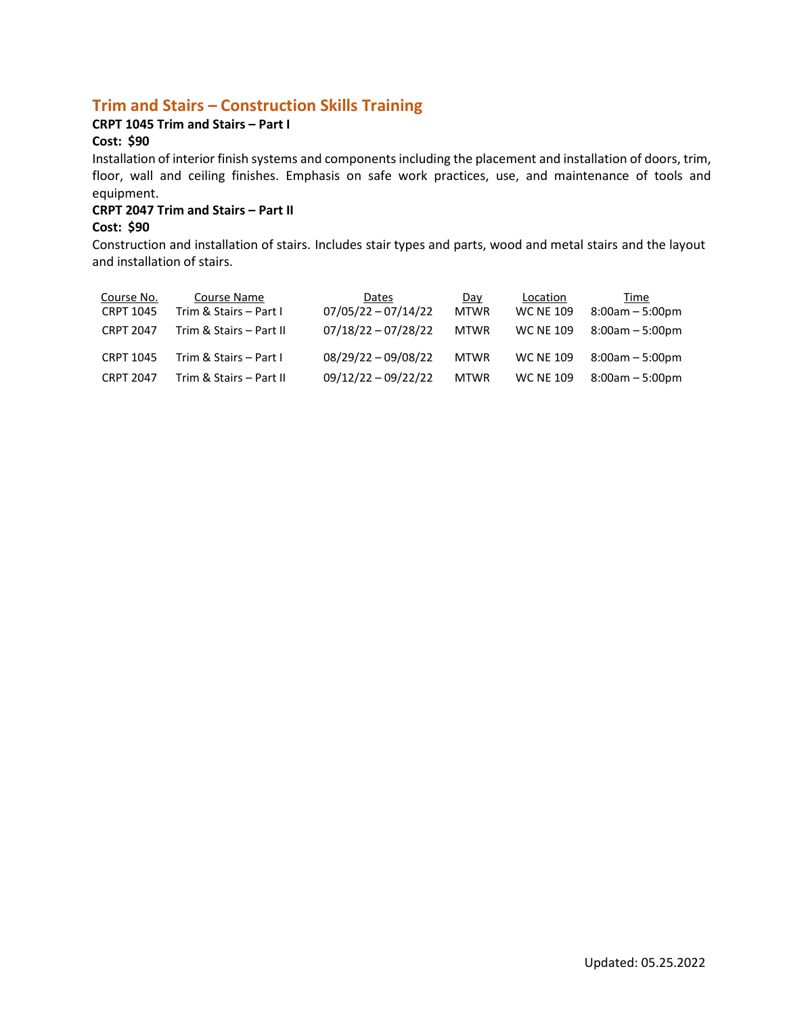# **Trim and Stairs – Construction Skills Training**

## **CRPT 1045 Trim and Stairs – Part I**

## **Cost: \$90**

Installation of interior finish systems and componentsincluding the placement and installation of doors, trim, floor, wall and ceiling finishes. Emphasis on safe work practices, use, and maintenance of tools and equipment.

#### **CRPT 2047 Trim and Stairs – Part II**

#### **Cost: \$90**

Construction and installation of stairs. Includes stair types and parts, wood and metal stairs and the layout and installation of stairs.

| <u>Course No.</u><br>CRPT 1045 | Course Name<br>Trim & Stairs - Part I | Dates<br>$07/05/22 - 07/14/22$ | Day<br><b>MTWR</b> | Location<br><b>WC NE 109</b> | Time<br>$8:00am - 5:00pm$ |
|--------------------------------|---------------------------------------|--------------------------------|--------------------|------------------------------|---------------------------|
| <b>CRPT 2047</b>               | Trim & Stairs - Part II               | $07/18/22 - 07/28/22$          | <b>MTWR</b>        | <b>WC NE 109</b>             | $8:00$ am $-5:00$ pm      |
| <b>CRPT 1045</b>               | Trim & Stairs - Part I                | $08/29/22 - 09/08/22$          | <b>MTWR</b>        | <b>WC NE 109</b>             | $8:00am - 5:00pm$         |
| <b>CRPT 2047</b>               | Trim & Stairs - Part II               | $09/12/22 - 09/22/22$          | <b>MTWR</b>        | <b>WC NE 109</b>             | $8:00am - 5:00pm$         |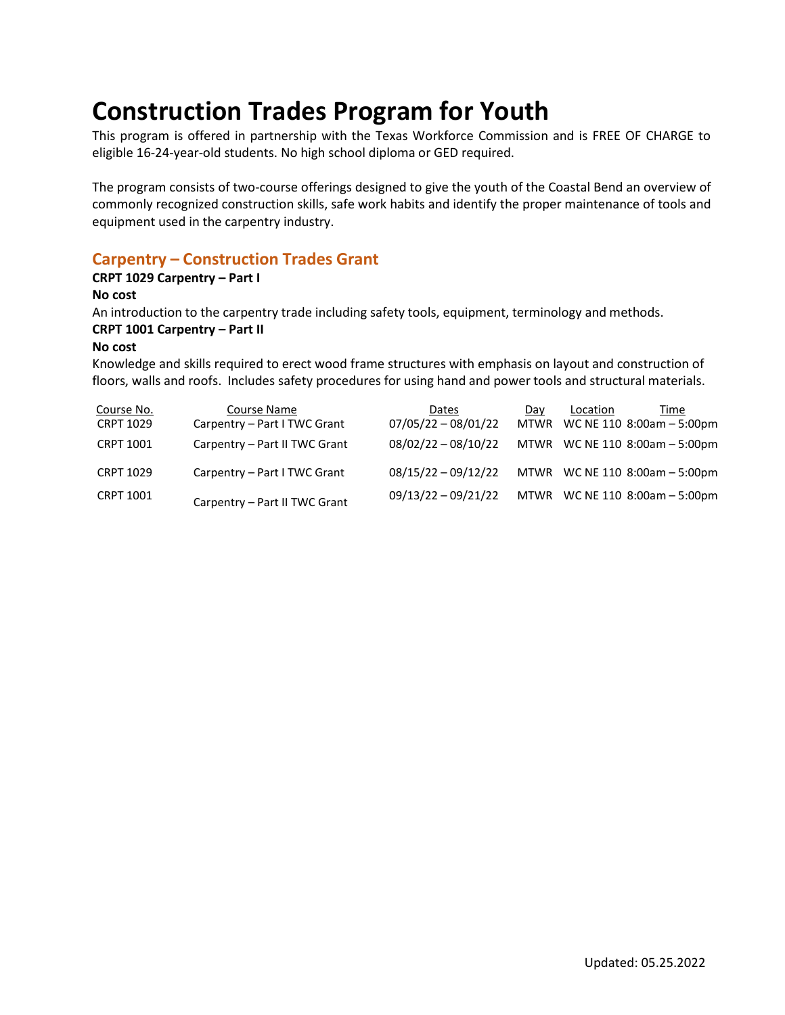# **Construction Trades Program for Youth**

This program is offered in partnership with the Texas Workforce Commission and is FREE OF CHARGE to eligible 16-24-year-old students. No high school diploma or GED required.

The program consists of two-course offerings designed to give the youth of the Coastal Bend an overview of commonly recognized construction skills, safe work habits and identify the proper maintenance of tools and equipment used in the carpentry industry.

# **Carpentry – Construction Trades Grant**

#### **CRPT 1029 Carpentry – Part I**

**No cost**

An introduction to the carpentry trade including safety tools, equipment, terminology and methods.

## **CRPT 1001 Carpentry – Part II**

## **No cost**

Knowledge and skills required to erect wood frame structures with emphasis on layout and construction of floors, walls and roofs. Includes safety procedures for using hand and power tools and structural materials.

| Course No.       | Course Name                   | Dates                 | Dav | Location | Time                           |
|------------------|-------------------------------|-----------------------|-----|----------|--------------------------------|
| <b>CRPT 1029</b> | Carpentry - Part I TWC Grant  | $07/05/22 - 08/01/22$ |     |          | MTWR WC NE 110 8:00am - 5:00pm |
| CRPT 1001        | Carpentry - Part II TWC Grant | $08/02/22 - 08/10/22$ |     |          | MTWR WC NE 110 8:00am - 5:00pm |
| <b>CRPT 1029</b> | Carpentry - Part I TWC Grant  | $08/15/22 - 09/12/22$ |     |          | MTWR WC NE 110 8:00am - 5:00pm |
| CRPT 1001        | Carpentry - Part II TWC Grant | $09/13/22 - 09/21/22$ |     |          | MTWR WC NE 110 8:00am - 5:00pm |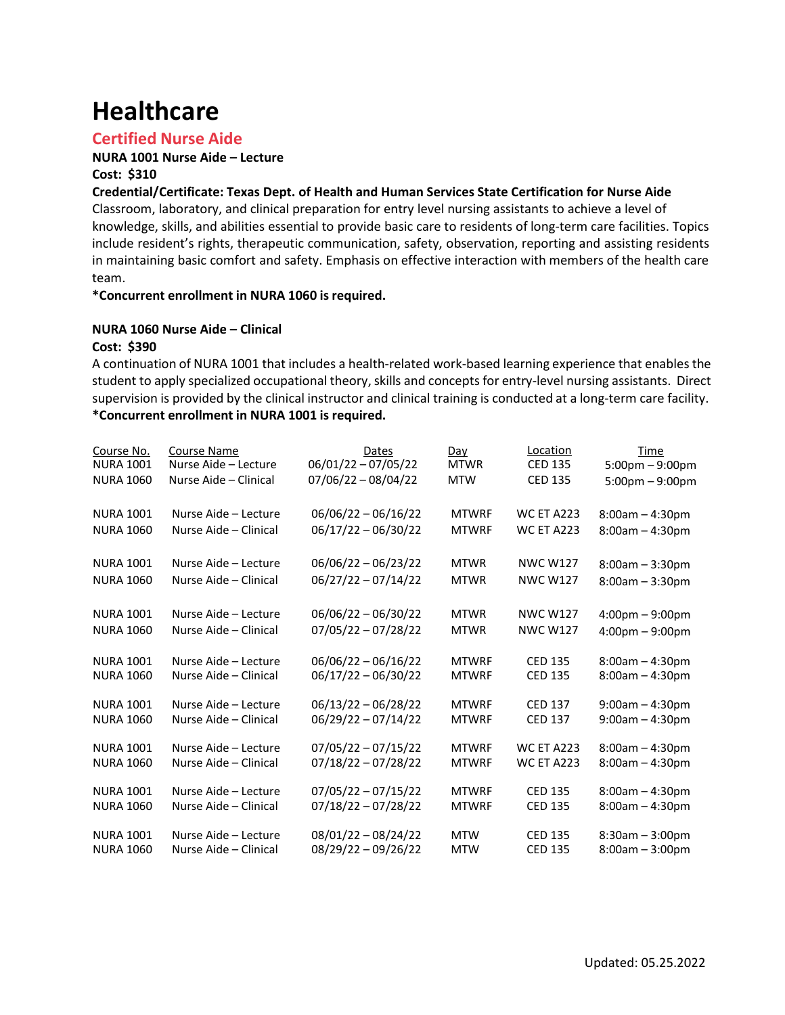# **Healthcare**

## **Certified Nurse Aide**

#### **NURA 1001 Nurse Aide – Lecture Cost: \$310**

#### **Credential/Certificate: Texas Dept. of Health and Human Services State Certification for Nurse Aide**

Classroom, laboratory, and clinical preparation for entry level nursing assistants to achieve a level of knowledge, skills, and abilities essential to provide basic care to residents of long-term care facilities. Topics include resident's rights, therapeutic communication, safety, observation, reporting and assisting residents in maintaining basic comfort and safety. Emphasis on effective interaction with members of the health care team.

#### **\*Concurrent enrollment in NURA 1060 is required.**

#### **NURA 1060 Nurse Aide – Clinical**

#### **Cost: \$390**

A continuation of NURA 1001 that includes a health-related work-based learning experience that enables the student to apply specialized occupational theory, skills and concepts for entry-level nursing assistants. Direct supervision is provided by the clinical instructor and clinical training is conducted at a long-term care facility. **\*Concurrent enrollment in NURA 1001 is required.**

| Course No.       | <b>Course Name</b>    | Dates                 | Day          | Location          | Time                              |
|------------------|-----------------------|-----------------------|--------------|-------------------|-----------------------------------|
| <b>NURA 1001</b> | Nurse Aide - Lecture  | $06/01/22 - 07/05/22$ | <b>MTWR</b>  | <b>CED 135</b>    | 5:00pm - 9:00pm                   |
| <b>NURA 1060</b> | Nurse Aide - Clinical | $07/06/22 - 08/04/22$ | <b>MTW</b>   | <b>CED 135</b>    | $5:00$ pm $-9:00$ pm              |
| <b>NURA 1001</b> | Nurse Aide - Lecture  | $06/06/22 - 06/16/22$ | <b>MTWRF</b> | <b>WC ET A223</b> | $8:00am - 4:30pm$                 |
| <b>NURA 1060</b> | Nurse Aide - Clinical | 06/17/22 - 06/30/22   | <b>MTWRF</b> | <b>WC ET A223</b> | $8:00am - 4:30pm$                 |
| <b>NURA 1001</b> | Nurse Aide - Lecture  | $06/06/22 - 06/23/22$ | <b>MTWR</b>  | <b>NWC W127</b>   | $8:00am - 3:30pm$                 |
| <b>NURA 1060</b> | Nurse Aide - Clinical | $06/27/22 - 07/14/22$ | <b>MTWR</b>  | <b>NWC W127</b>   | $8:00am - 3:30pm$                 |
| <b>NURA 1001</b> | Nurse Aide - Lecture  | $06/06/22 - 06/30/22$ | <b>MTWR</b>  | <b>NWC W127</b>   | $4:00 \text{pm} - 9:00 \text{pm}$ |
| <b>NURA 1060</b> | Nurse Aide - Clinical | $07/05/22 - 07/28/22$ | <b>MTWR</b>  | <b>NWC W127</b>   | $4:00 \text{pm} - 9:00 \text{pm}$ |
| <b>NURA 1001</b> | Nurse Aide - Lecture  | $06/06/22 - 06/16/22$ | <b>MTWRF</b> | <b>CED 135</b>    | $8:00am - 4:30pm$                 |
| <b>NURA 1060</b> | Nurse Aide - Clinical | $06/17/22 - 06/30/22$ | <b>MTWRF</b> | <b>CED 135</b>    | $8:00am - 4:30pm$                 |
| <b>NURA 1001</b> | Nurse Aide - Lecture  | $06/13/22 - 06/28/22$ | <b>MTWRF</b> | <b>CED 137</b>    | $9:00am - 4:30pm$                 |
| <b>NURA 1060</b> | Nurse Aide - Clinical | $06/29/22 - 07/14/22$ | <b>MTWRF</b> | <b>CED 137</b>    | $9:00am - 4:30pm$                 |
| <b>NURA 1001</b> | Nurse Aide - Lecture  | $07/05/22 - 07/15/22$ | <b>MTWRF</b> | <b>WC ET A223</b> | $8:00am - 4:30pm$                 |
| <b>NURA 1060</b> | Nurse Aide - Clinical | $07/18/22 - 07/28/22$ | <b>MTWRF</b> | <b>WC ET A223</b> | $8:00am - 4:30pm$                 |
| <b>NURA 1001</b> | Nurse Aide - Lecture  | $07/05/22 - 07/15/22$ | <b>MTWRF</b> | <b>CED 135</b>    | $8:00am - 4:30pm$                 |
| <b>NURA 1060</b> | Nurse Aide - Clinical | $07/18/22 - 07/28/22$ | <b>MTWRF</b> | <b>CED 135</b>    | $8:00am - 4:30pm$                 |
| <b>NURA 1001</b> | Nurse Aide - Lecture  | $08/01/22 - 08/24/22$ | <b>MTW</b>   | <b>CED 135</b>    | $8:30am - 3:00pm$                 |
| <b>NURA 1060</b> | Nurse Aide - Clinical | 08/29/22 - 09/26/22   | <b>MTW</b>   | <b>CED 135</b>    | $8:00am - 3:00pm$                 |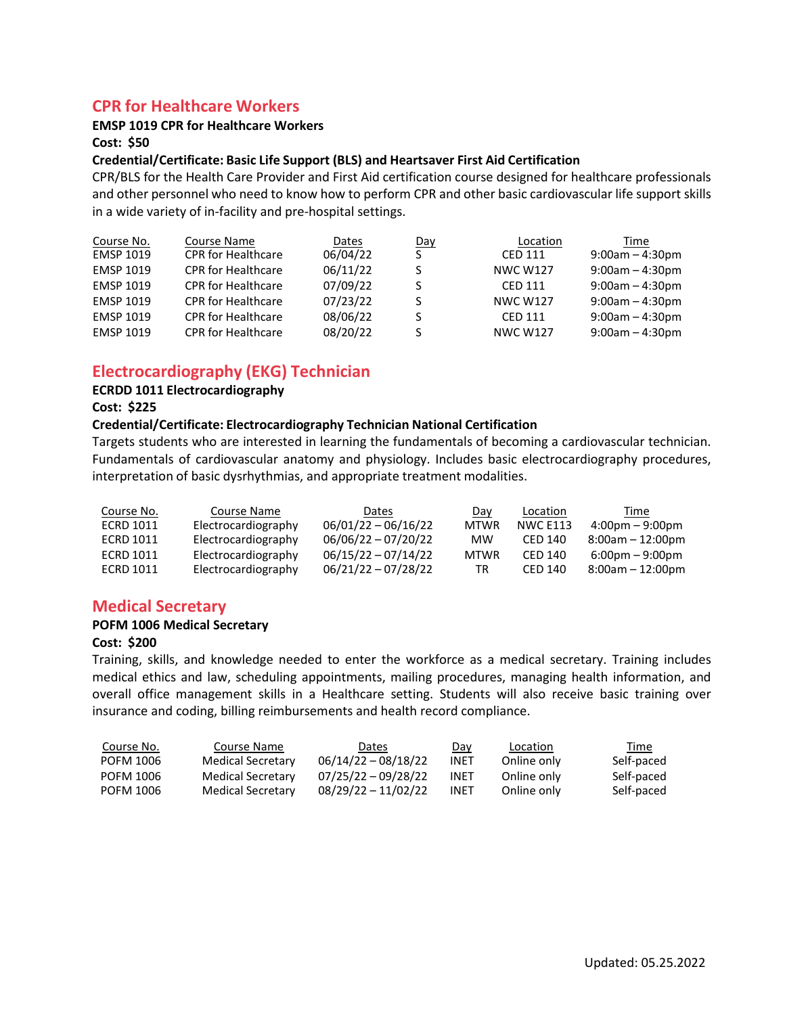## **CPR for Healthcare Workers**

#### **EMSP 1019 CPR for Healthcare Workers**

**Cost: \$50**

#### **Credential/Certificate: Basic Life Support (BLS) and Heartsaver First Aid Certification**

CPR/BLS for the Health Care Provider and First Aid certification course designed for healthcare professionals and other personnel who need to know how to perform CPR and other basic cardiovascular life support skills in a wide variety of in-facility and pre-hospital settings.

| Course No.       | Course Name               | Dates    | Day | Location        | Time              |
|------------------|---------------------------|----------|-----|-----------------|-------------------|
| <b>EMSP 1019</b> | <b>CPR</b> for Healthcare | 06/04/22 |     | <b>CED 111</b>  | $9:00am - 4:30pm$ |
| <b>EMSP 1019</b> | <b>CPR</b> for Healthcare | 06/11/22 |     | <b>NWC W127</b> | $9:00am - 4:30pm$ |
| <b>EMSP 1019</b> | <b>CPR</b> for Healthcare | 07/09/22 |     | <b>CED 111</b>  | $9:00am - 4:30pm$ |
| <b>EMSP 1019</b> | <b>CPR</b> for Healthcare | 07/23/22 |     | <b>NWC W127</b> | $9:00am - 4:30pm$ |
| <b>EMSP 1019</b> | <b>CPR</b> for Healthcare | 08/06/22 |     | <b>CED 111</b>  | $9:00am - 4:30pm$ |
| <b>EMSP 1019</b> | <b>CPR</b> for Healthcare | 08/20/22 |     | <b>NWC W127</b> | $9:00am - 4:30pm$ |

# **Electrocardiography (EKG) Technician**

#### **ECRDD 1011 Electrocardiography**

**Cost: \$225**

#### **Credential/Certificate: Electrocardiography Technician National Certification**

Targets students who are interested in learning the fundamentals of becoming a cardiovascular technician. Fundamentals of cardiovascular anatomy and physiology. Includes basic electrocardiography procedures, interpretation of basic dysrhythmias, and appropriate treatment modalities.

| Course No. | Course Name         | Dates                 | Day         | Location        | Time                              |
|------------|---------------------|-----------------------|-------------|-----------------|-----------------------------------|
| ECRD 1011  | Electrocardiography | $06/01/22 - 06/16/22$ | <b>MTWR</b> | <b>NWC E113</b> | $4:00 \text{pm} - 9:00 \text{pm}$ |
| ECRD 1011  | Electrocardiography | $06/06/22 - 07/20/22$ | МW          | CED 140         | $8:00$ am $-12:00$ pm             |
| ECRD 1011  | Electrocardiography | $06/15/22 - 07/14/22$ | <b>MTWR</b> | CFD 140         | $6:00 \text{pm} - 9:00 \text{pm}$ |
| ECRD 1011  | Electrocardiography | $06/21/22 - 07/28/22$ | TR          | CED 140         | $8:00$ am $-12:00$ pm             |

## **Medical Secretary**

#### **POFM 1006 Medical Secretary**

#### **Cost: \$200**

Training, skills, and knowledge needed to enter the workforce as a medical secretary. Training includes medical ethics and law, scheduling appointments, mailing procedures, managing health information, and overall office management skills in a Healthcare setting. Students will also receive basic training over insurance and coding, billing reimbursements and health record compliance.

| Course No. | Course Name       | Dates                 | Day  | Location    | Time       |
|------------|-------------------|-----------------------|------|-------------|------------|
| POFM 1006  | Medical Secretary | $06/14/22 - 08/18/22$ | INET | Online only | Self-paced |
| POFM 1006  | Medical Secretary | $07/25/22 - 09/28/22$ | INET | Online only | Self-paced |
| POFM 1006  | Medical Secretary | $08/29/22 - 11/02/22$ | INET | Online only | Self-paced |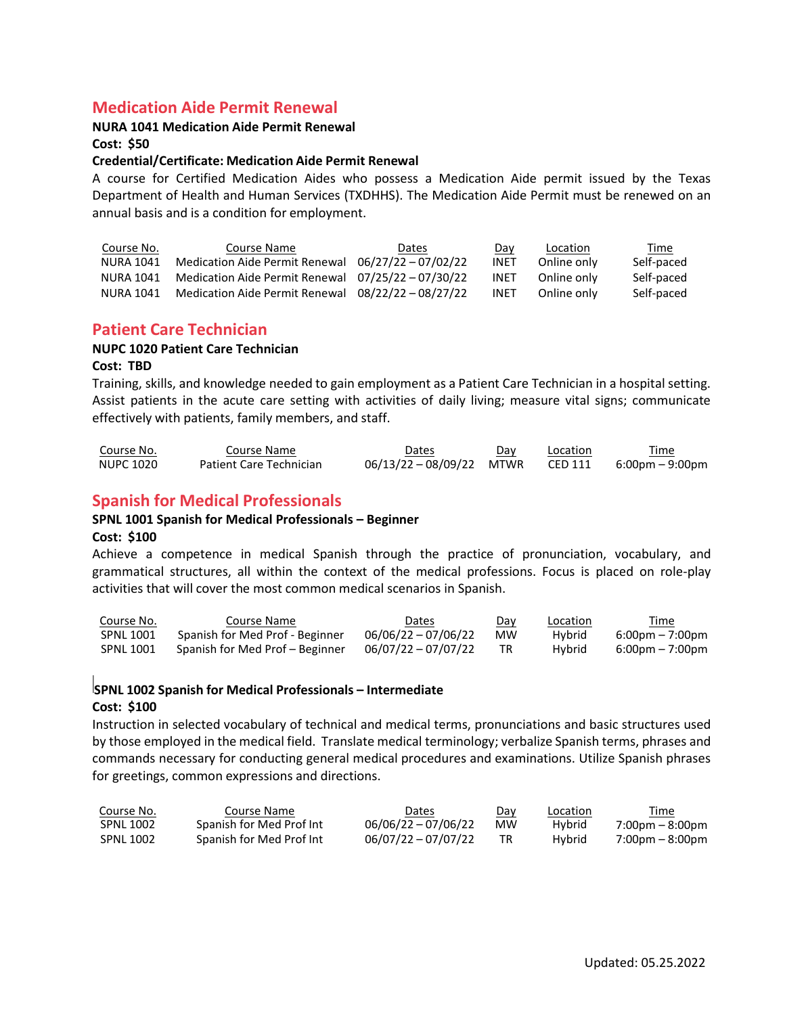## **Medication Aide Permit Renewal**

#### **NURA 1041 Medication Aide Permit Renewal**

**Cost: \$50**

#### **Credential/Certificate: Medication Aide Permit Renewal**

A course for Certified Medication Aides who possess a Medication Aide permit issued by the Texas Department of Health and Human Services (TXDHHS). The Medication Aide Permit must be renewed on an annual basis and is a condition for employment.

| Course No. | Course Name                                          | Dates | Day         | Location    | Time       |
|------------|------------------------------------------------------|-------|-------------|-------------|------------|
| NURA 1041  | Medication Aide Permit Renewal $06/27/22 - 07/02/22$ |       | <b>INET</b> | Online only | Self-paced |
| NURA 1041  | Medication Aide Permit Renewal 07/25/22 - 07/30/22   |       | <b>INET</b> | Online only | Self-paced |
| NURA 1041  | Medication Aide Permit Renewal $08/22/22 - 08/27/22$ |       | <b>INET</b> | Online only | Self-paced |

## **Patient Care Technician**

#### **NUPC 1020 Patient Care Technician**

#### **Cost: TBD**

Training, skills, and knowledge needed to gain employment as a Patient Care Technician in a hospital setting. Assist patients in the acute care setting with activities of daily living; measure vital signs; communicate effectively with patients, family members, and staff.

| Course No. | Course Name                    | Dates                  | Day | Location | Time            |
|------------|--------------------------------|------------------------|-----|----------|-----------------|
| NUPC 1020  | <b>Patient Care Technician</b> | 06/13/22-08/09/22 MTWR |     | CED 111  | 6:00pm – 9:00pm |

# **Spanish for Medical Professionals**

#### **SPNL 1001 Spanish for Medical Professionals – Beginner**

#### **Cost: \$100**

Achieve a competence in medical Spanish through the practice of pronunciation, vocabulary, and grammatical structures, all within the context of the medical professions. Focus is placed on role-play activities that will cover the most common medical scenarios in Spanish.

| Course No.       | Course Name                     | Dates                 | Day | <b>Location</b> | Time                              |
|------------------|---------------------------------|-----------------------|-----|-----------------|-----------------------------------|
| <b>SPNL 1001</b> | Spanish for Med Prof - Beginner | $06/06/22 - 07/06/22$ | мw  | Hybrid          | $6:00 \text{pm} - 7:00 \text{pm}$ |
| SPNL 1001        | Spanish for Med Prof – Beginner | $06/07/22 - 07/07/22$ |     | Hybrid          | $6:00 \text{pm} - 7:00 \text{pm}$ |

# **SPNL 1002 Spanish for Medical Professionals – Intermediate**

#### **Cost: \$100**

Instruction in selected vocabulary of technical and medical terms, pronunciations and basic structures used by those employed in the medical field. Translate medical terminology; verbalize Spanish terms, phrases and commands necessary for conducting general medical procedures and examinations. Utilize Spanish phrases for greetings, common expressions and directions.

| Course No.       | Course Name              | Dates                 | Dav | Location      | Time                              |
|------------------|--------------------------|-----------------------|-----|---------------|-----------------------------------|
| SPNL 1002        | Spanish for Med Prof Int | $06/06/22 - 07/06/22$ | мw  | <b>Hvbrid</b> | $7:00 \text{pm} - 8:00 \text{pm}$ |
| <b>SPNL 1002</b> | Spanish for Med Prof Int | $06/07/22 - 07/07/22$ |     | Hybrid        | $7:00 \text{pm} - 8:00 \text{pm}$ |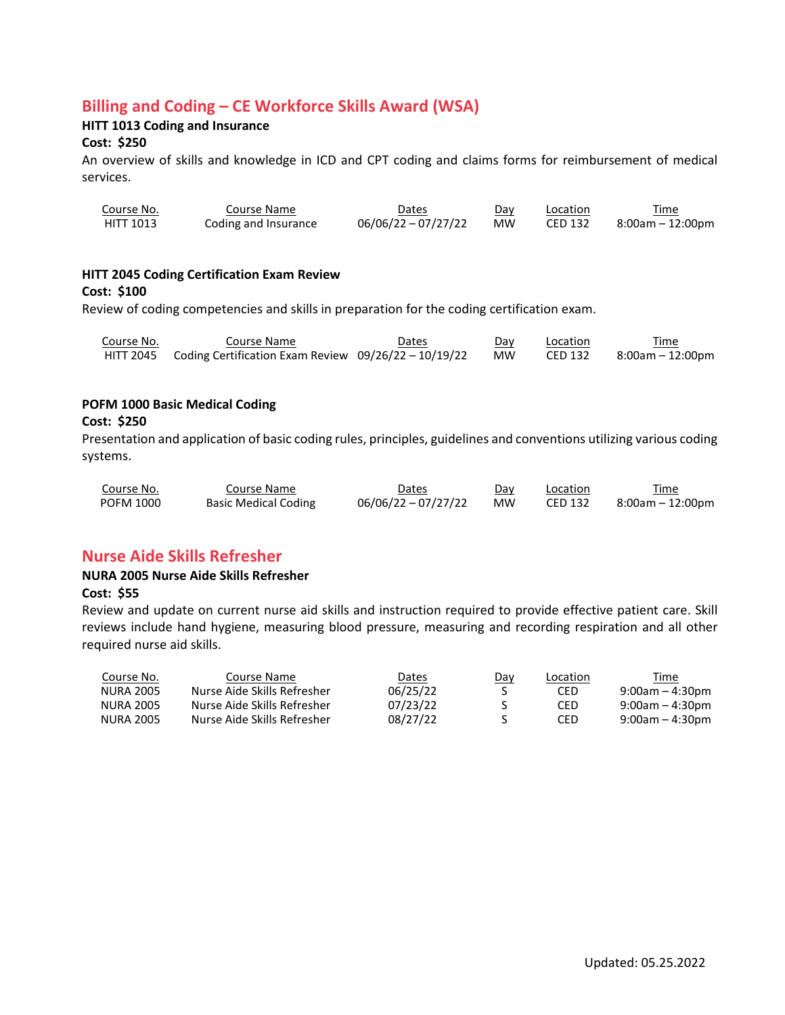# **Billing and Coding – CE Workforce Skills Award (WSA)**

## **HITT 1013 Coding and Insurance**

#### **Cost: \$250**

An overview of skills and knowledge in ICD and CPT coding and claims forms for reimbursement of medical services.

| Course No. | Course Name          | Dates                 | Dav       | Location | Time             |
|------------|----------------------|-----------------------|-----------|----------|------------------|
| HITT 1013  | Coding and Insurance | $06/06/22 - 07/27/22$ | <b>MW</b> | CED 132  | 8:00am – 12:00pm |

#### **HITT 2045 Coding Certification Exam Review**

#### **Cost: \$100**

Review of coding competencies and skills in preparation for the coding certification exam.

| Course No. | Course Name                                                    | Dates | Day | Location | Time             |
|------------|----------------------------------------------------------------|-------|-----|----------|------------------|
|            | HITT 2045 Coding Certification Exam Review 09/26/22 - 10/19/22 |       | MW  | CED 132  | 8:00am – 12:00pm |

#### **POFM 1000 Basic Medical Coding**

#### **Cost: \$250**

Presentation and application of basic coding rules, principles, guidelines and conventions utilizing various coding systems.

| Course No. | Course Name                 | <i>D</i> ates         | Day       | Location       | Time             |
|------------|-----------------------------|-----------------------|-----------|----------------|------------------|
| POFM 1000  | <b>Basic Medical Coding</b> | $06/06/22 - 07/27/22$ | <b>MW</b> | <b>CED 132</b> | 8:00am – 12:00pm |

## **Nurse Aide Skills Refresher**

#### **NURA 2005 Nurse Aide Skills Refresher**

#### **Cost: \$55**

Review and update on current nurse aid skills and instruction required to provide effective patient care. Skill reviews include hand hygiene, measuring blood pressure, measuring and recording respiration and all other required nurse aid skills.

| Course No. | Course Name                 | Dates    | <u>Day</u> | Location | Time               |
|------------|-----------------------------|----------|------------|----------|--------------------|
| NURA 2005  | Nurse Aide Skills Refresher | 06/25/22 |            | CED      | $9:00am - 4:30pm$  |
| NURA 2005  | Nurse Aide Skills Refresher | 07/23/22 |            | CED      | $9:00$ am – 4:30pm |
| NURA 2005  | Nurse Aide Skills Refresher | 08/27/22 |            | CED      | $9:00am - 4:30pm$  |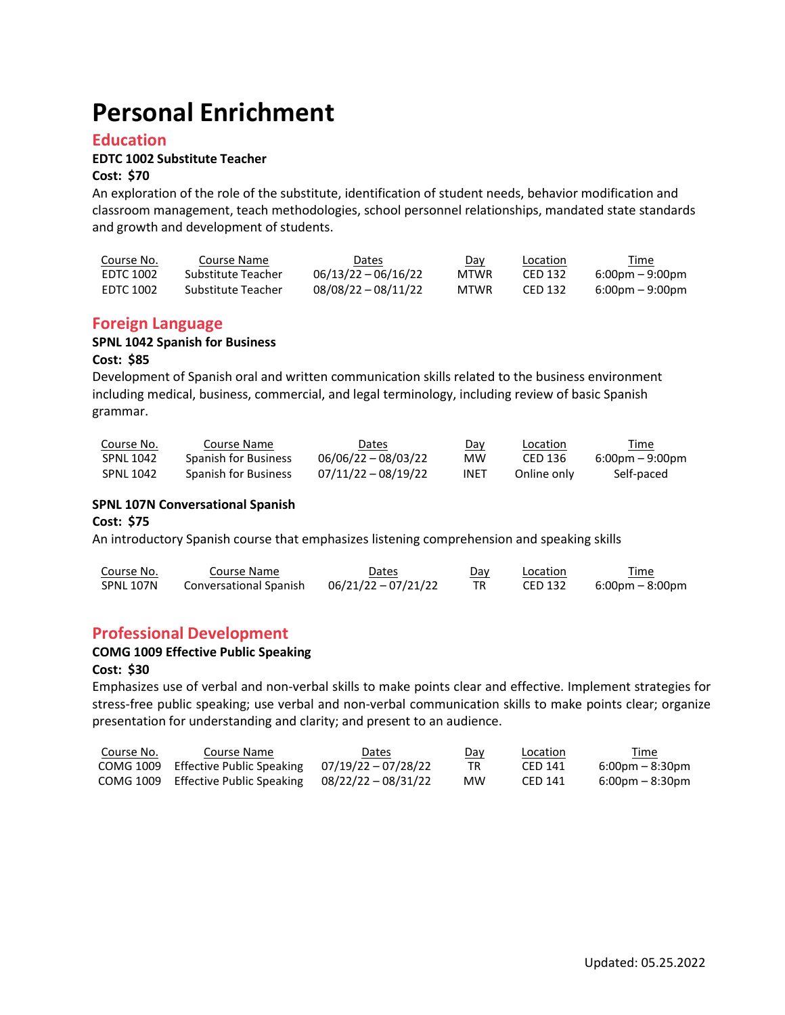# **Personal Enrichment**

## **Education**

#### **EDTC 1002 Substitute Teacher**

#### **Cost: \$70**

An exploration of the role of the substitute, identification of student needs, behavior modification and classroom management, teach methodologies, school personnel relationships, mandated state standards and growth and development of students.

| Course No. | Course Name        | Dates                 | Day         | Location | Time                              |
|------------|--------------------|-----------------------|-------------|----------|-----------------------------------|
| EDTC 1002  | Substitute Teacher | $06/13/22 - 06/16/22$ | MTWR        | CED 132  | $6:00 \text{pm} - 9:00 \text{pm}$ |
| EDTC 1002  | Substitute Teacher | $08/08/22 - 08/11/22$ | <b>MTWR</b> | CED 132  | $6:00 \text{pm} - 9:00 \text{pm}$ |

## **Foreign Language**

#### **SPNL 1042 Spanish for Business**

#### **Cost: \$85**

Development of Spanish oral and written communication skills related to the business environment including medical, business, commercial, and legal terminology, including review of basic Spanish grammar.

| Course No.       | Course Name                 | Dates                 | Day  | <b>Location</b> | <u>Time</u>     |
|------------------|-----------------------------|-----------------------|------|-----------------|-----------------|
| <b>SPNL 1042</b> | Spanish for Business        | $06/06/22 - 08/03/22$ | мw   | CED 136         | 6:00pm – 9:00pm |
| <b>SPNL 1042</b> | <b>Spanish for Business</b> | 07/11/22 - 08/19/22   | INET | Online only     | Self-paced      |

#### **SPNL 107N Conversational Spanish**

#### **Cost: \$75**

An introductory Spanish course that emphasizes listening comprehension and speaking skills

| Course No. | Course Name            | Dates               | Dav | Location | Time            |
|------------|------------------------|---------------------|-----|----------|-----------------|
| SPNL 107N  | Conversational Spanish | 06/21/22 - 07/21/22 |     | CED 132  | 6:00pm – 8:00pm |

## **Professional Development**

### **COMG 1009 Effective Public Speaking**

#### **Cost: \$30**

Emphasizes use of verbal and non-verbal skills to make points clear and effective. Implement strategies for stress-free public speaking; use verbal and non-verbal communication skills to make points clear; organize presentation for understanding and clarity; and present to an audience.

| Course No. | Course Name                                               | Dates | <u>Day</u> | Location | Time                              |
|------------|-----------------------------------------------------------|-------|------------|----------|-----------------------------------|
|            | COMG 1009 Effective Public Speaking $07/19/22 - 07/28/22$ |       | TR         | CED 141  | $6:00 \text{pm} - 8:30 \text{pm}$ |
|            | COMG 1009 Effective Public Speaking $08/22/22 - 08/31/22$ |       | МW         | CED 141  | $6:00 \text{pm} - 8:30 \text{pm}$ |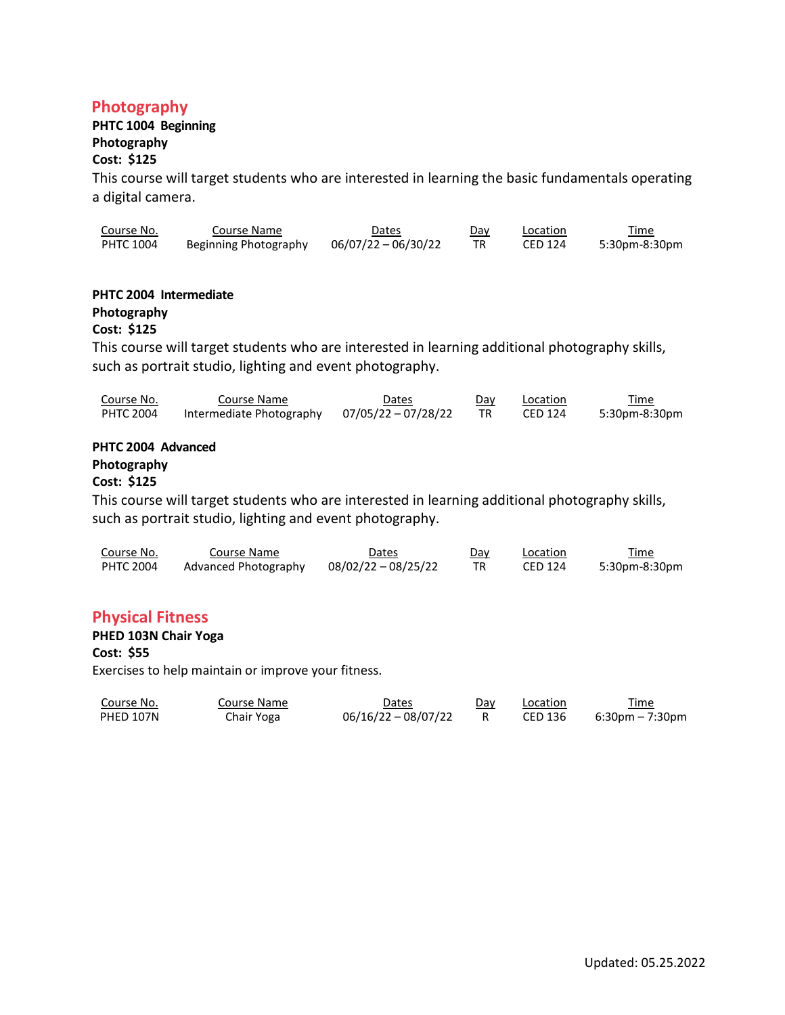## **Photography**

# **PHTC 1004 Beginning**

# **Photography**

## **Cost: \$125**

This course will target students who are interested in learning the basic fundamentals operating a digital camera.

| Course No. | Course Name           | Dates               | Dav | Location | Time          |
|------------|-----------------------|---------------------|-----|----------|---------------|
| PHTC 1004  | Beginning Photography | 06/07/22 - 06/30/22 |     | CED 124  | 5:30pm-8:30pm |

## **PHTC 2004 Intermediate**

## **Photography**

## **Cost: \$125**

This course will target students who are interested in learning additional photography skills, such as portrait studio, lighting and event photography.

| Course No. | Course Name              | Dates               | Dav | Location | Time          |
|------------|--------------------------|---------------------|-----|----------|---------------|
| PHTC 2004  | Intermediate Photography | 07/05/22 - 07/28/22 | TR  | CED 124  | 5:30pm-8:30pm |

# **PHTC 2004 Advanced**

# **Photography**

## **Cost: \$125**

This course will target students who are interested in learning additional photography skills, such as portrait studio, lighting and event photography.

| Course No.       | Course Name          | Dates               | Dav | Location       | Time<br><u> 1980 - Johann Stoff, Amerikaansk politiker (</u> |
|------------------|----------------------|---------------------|-----|----------------|--------------------------------------------------------------|
| <b>PHTC 2004</b> | Advanced Photography | 08/02/22 - 08/25/22 |     | <b>CED 124</b> | 5:30pm-8:30pm                                                |

## **Physical Fitness**

#### **PHED 103N Chair Yoga**

## **Cost: \$55**

Exercises to help maintain or improve your fitness.

| Course No. | Course Name | Dates                 | Day | Location | Time            |
|------------|-------------|-----------------------|-----|----------|-----------------|
| PHED 107N  | Chair Yoga  | $06/16/22 - 08/07/22$ |     | CED 136  | 6:30pm – 7:30pm |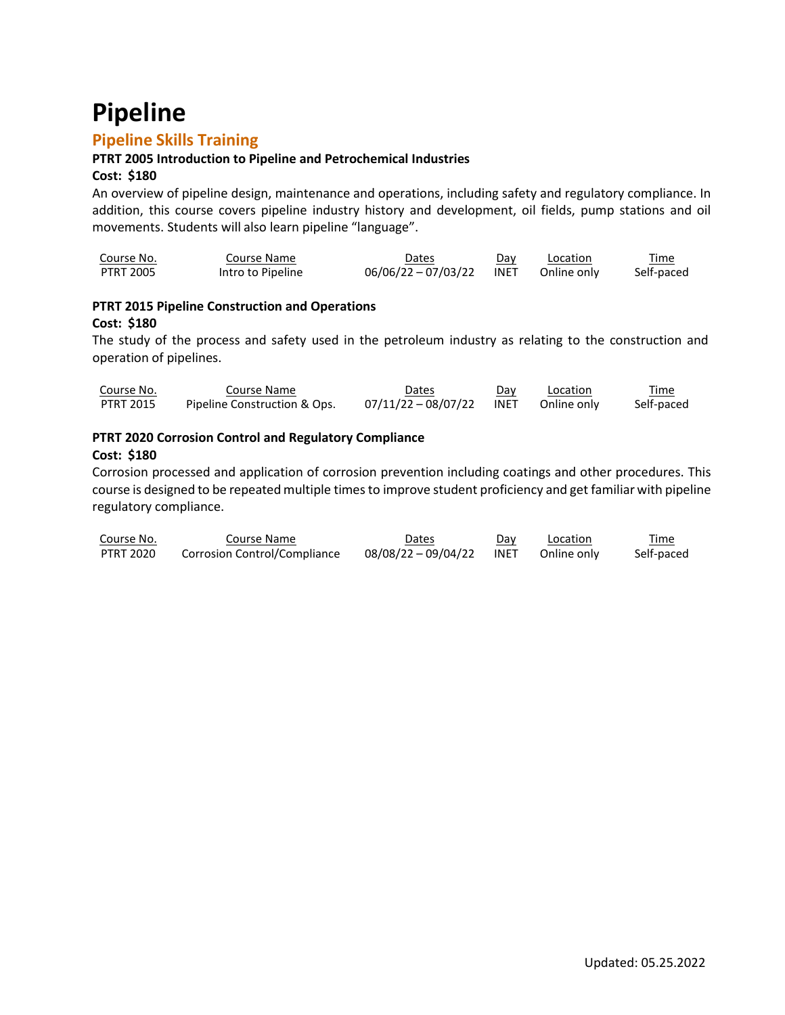# **Pipeline**

# **Pipeline Skills Training**

## **PTRT 2005 Introduction to Pipeline and Petrochemical Industries**

## **Cost: \$180**

An overview of pipeline design, maintenance and operations, including safety and regulatory compliance. In addition, this course covers pipeline industry history and development, oil fields, pump stations and oil movements. Students will also learn pipeline "language".

| Course No. | Course Name       | Dates                 | Dav  | Location    | Time       |
|------------|-------------------|-----------------------|------|-------------|------------|
| PTRT 2005  | Intro to Pipeline | $06/06/22 - 07/03/22$ | INET | Online only | Self-paced |

## **PTRT 2015 Pipeline Construction and Operations Cost: \$180**

The study of the process and safety used in the petroleum industry as relating to the construction and operation of pipelines.

| Course No. | Course Name                  | <b>Dates</b>             | Day | Location    | Time       |
|------------|------------------------------|--------------------------|-----|-------------|------------|
| PTRT 2015  | Pipeline Construction & Ops. | 07/11/22 - 08/07/22 INET |     | Online only | Self-paced |

## **PTRT 2020 Corrosion Control and Regulatory Compliance**

#### **Cost: \$180**

Corrosion processed and application of corrosion prevention including coatings and other procedures. This course is designed to be repeated multiple times to improve student proficiency and get familiar with pipeline regulatory compliance.

| Course No. | Course Name                  | Dates               | Day         | Location    | Time       |
|------------|------------------------------|---------------------|-------------|-------------|------------|
| PTRT 2020  | Corrosion Control/Compliance | 08/08/22 - 09/04/22 | <b>INET</b> | Online only | Self-paced |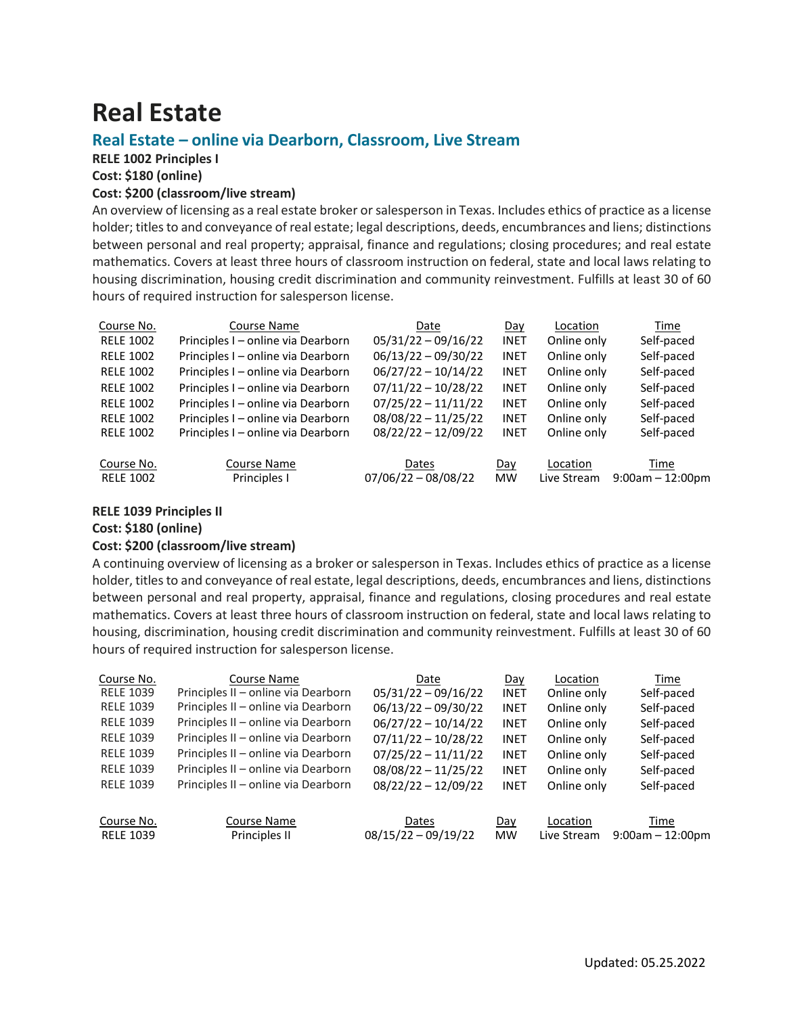# **Real Estate**

## **Real Estate – online via Dearborn, Classroom, Live Stream**

**RELE 1002 Principles I**

**Cost: \$180 (online)**

### **Cost: \$200 (classroom/live stream)**

An overview of licensing as a real estate broker or salesperson in Texas. Includes ethics of practice as a license holder; titles to and conveyance of real estate; legal descriptions, deeds, encumbrances and liens; distinctions between personal and real property; appraisal, finance and regulations; closing procedures; and real estate mathematics. Covers at least three hours of classroom instruction on federal, state and local laws relating to housing discrimination, housing credit discrimination and community reinvestment. Fulfills at least 30 of 60 hours of required instruction for salesperson license.

| Course No.       | Course Name                        | Date                  | Day         | Location    | Time                  |
|------------------|------------------------------------|-----------------------|-------------|-------------|-----------------------|
| <b>RELE 1002</b> | Principles I - online via Dearborn | $05/31/22 - 09/16/22$ | <b>INET</b> | Online only | Self-paced            |
| <b>RELE 1002</b> | Principles I - online via Dearborn | $06/13/22 - 09/30/22$ | <b>INET</b> | Online only | Self-paced            |
| <b>RELE 1002</b> | Principles I - online via Dearborn | $06/27/22 - 10/14/22$ | <b>INET</b> | Online only | Self-paced            |
| <b>RELE 1002</b> | Principles I - online via Dearborn | $07/11/22 - 10/28/22$ | <b>INET</b> | Online only | Self-paced            |
| <b>RELE 1002</b> | Principles I - online via Dearborn | $07/25/22 - 11/11/22$ | <b>INET</b> | Online only | Self-paced            |
| <b>RELE 1002</b> | Principles I - online via Dearborn | $08/08/22 - 11/25/22$ | <b>INET</b> | Online only | Self-paced            |
| <b>RELE 1002</b> | Principles I – online via Dearborn | $08/22/22 - 12/09/22$ | <b>INET</b> | Online only | Self-paced            |
|                  |                                    |                       |             |             |                       |
| Course No.       | Course Name                        | Dates                 | Day         | Location    | Time                  |
| <b>RELE 1002</b> | Principles I                       | $07/06/22 - 08/08/22$ | <b>MW</b>   | Live Stream | $9:00$ am $-12:00$ pm |

#### **RELE 1039 Principles II**

**Cost: \$180 (online)**

#### **Cost: \$200 (classroom/live stream)**

A continuing overview of licensing as a broker or salesperson in Texas. Includes ethics of practice as a license holder, titles to and conveyance of real estate, legal descriptions, deeds, encumbrances and liens, distinctions between personal and real property, appraisal, finance and regulations, closing procedures and real estate mathematics. Covers at least three hours of classroom instruction on federal, state and local laws relating to housing, discrimination, housing credit discrimination and community reinvestment. Fulfills at least 30 of 60 hours of required instruction for salesperson license.

| Course No.       | Course Name                         | Date                  | Day         | Location    | Time                  |
|------------------|-------------------------------------|-----------------------|-------------|-------------|-----------------------|
| <b>RELE 1039</b> | Principles II - online via Dearborn | $05/31/22 - 09/16/22$ | <b>INET</b> | Online only | Self-paced            |
| <b>RELE 1039</b> | Principles II - online via Dearborn | $06/13/22 - 09/30/22$ | <b>INET</b> | Online only | Self-paced            |
| <b>RELE 1039</b> | Principles II - online via Dearborn | $06/27/22 - 10/14/22$ | <b>INET</b> | Online only | Self-paced            |
| <b>RELE 1039</b> | Principles II - online via Dearborn | $07/11/22 - 10/28/22$ | <b>INET</b> | Online only | Self-paced            |
| <b>RELE 1039</b> | Principles II - online via Dearborn | $07/25/22 - 11/11/22$ | <b>INET</b> | Online only | Self-paced            |
| <b>RELE 1039</b> | Principles II – online via Dearborn | $08/08/22 - 11/25/22$ | <b>INET</b> | Online only | Self-paced            |
| <b>RELE 1039</b> | Principles II - online via Dearborn | $08/22/22 - 12/09/22$ | <b>INET</b> | Online only | Self-paced            |
| Course No.       | Course Name                         | Dates                 | Day         | Location    | Time                  |
| <b>RELE 1039</b> | Principles II                       | $08/15/22 - 09/19/22$ | <b>MW</b>   | Live Stream | $9:00$ am $-12:00$ pm |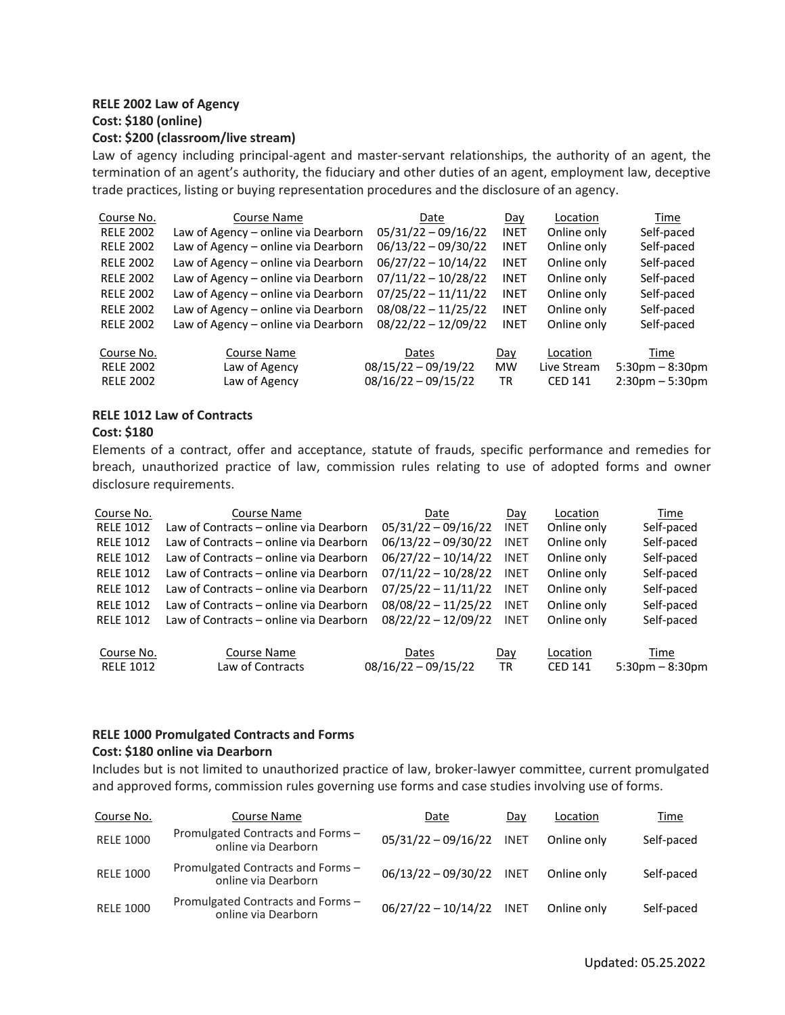# **RELE 2002 Law of Agency Cost: \$180 (online)**

#### **Cost: \$200 (classroom/live stream)**

Law of agency including principal-agent and master-servant relationships, the authority of an agent, the termination of an agent's authority, the fiduciary and other duties of an agent, employment law, deceptive trade practices, listing or buying representation procedures and the disclosure of an agency.

| Course No.       | Course Name                         | Date                  | Day         | Location       | Time                 |
|------------------|-------------------------------------|-----------------------|-------------|----------------|----------------------|
| <b>RELE 2002</b> | Law of Agency - online via Dearborn | $05/31/22 - 09/16/22$ | <b>INET</b> | Online only    | Self-paced           |
| <b>RELE 2002</b> | Law of Agency - online via Dearborn | $06/13/22 - 09/30/22$ | <b>INET</b> | Online only    | Self-paced           |
| <b>RELE 2002</b> | Law of Agency - online via Dearborn | $06/27/22 - 10/14/22$ | <b>INET</b> | Online only    | Self-paced           |
| <b>RELE 2002</b> | Law of Agency - online via Dearborn | $07/11/22 - 10/28/22$ | <b>INET</b> | Online only    | Self-paced           |
| <b>RELE 2002</b> | Law of Agency - online via Dearborn | $07/25/22 - 11/11/22$ | <b>INET</b> | Online only    | Self-paced           |
| <b>RELE 2002</b> | Law of Agency - online via Dearborn | $08/08/22 - 11/25/22$ | <b>INET</b> | Online only    | Self-paced           |
| <b>RELE 2002</b> | Law of Agency - online via Dearborn | $08/22/22 - 12/09/22$ | <b>INET</b> | Online only    | Self-paced           |
| Course No.       | Course Name                         | Dates                 | Day         | Location       | Time                 |
| <b>RELE 2002</b> | Law of Agency                       | $08/15/22 - 09/19/22$ | <b>MW</b>   | Live Stream    | $5:30$ pm $-8:30$ pm |
| <b>RELE 2002</b> | Law of Agency                       | $08/16/22 - 09/15/22$ | <b>TR</b>   | <b>CED 141</b> | $2:30pm - 5:30pm$    |

#### **RELE 1012 Law of Contracts**

#### **Cost: \$180**

Elements of a contract, offer and acceptance, statute of frauds, specific performance and remedies for breach, unauthorized practice of law, commission rules relating to use of adopted forms and owner disclosure requirements.

| Course No.       | Course Name                            | Date                  | Day         | Location       | Time              |
|------------------|----------------------------------------|-----------------------|-------------|----------------|-------------------|
| <b>RELE 1012</b> | Law of Contracts – online via Dearborn | $05/31/22 - 09/16/22$ | <b>INET</b> | Online only    | Self-paced        |
| <b>RELE 1012</b> | Law of Contracts – online via Dearborn | $06/13/22 - 09/30/22$ | <b>INET</b> | Online only    | Self-paced        |
| <b>RELE 1012</b> | Law of Contracts – online via Dearborn | $06/27/22 - 10/14/22$ | <b>INET</b> | Online only    | Self-paced        |
| <b>RELE 1012</b> | Law of Contracts – online via Dearborn | $07/11/22 - 10/28/22$ | <b>INET</b> | Online only    | Self-paced        |
| <b>RELE 1012</b> | Law of Contracts – online via Dearborn | $07/25/22 - 11/11/22$ | <b>INET</b> | Online only    | Self-paced        |
| <b>RELE 1012</b> | Law of Contracts – online via Dearborn | $08/08/22 - 11/25/22$ | <b>INET</b> | Online only    | Self-paced        |
| <b>RELE 1012</b> | Law of Contracts – online via Dearborn | $08/22/22 - 12/09/22$ | <b>INET</b> | Online only    | Self-paced        |
| Course No.       | Course Name                            | Dates                 |             | Location       | Time              |
|                  |                                        |                       | Day         |                |                   |
| <b>RELE 1012</b> | Law of Contracts                       | $08/16/22 - 09/15/22$ | <b>TR</b>   | <b>CED 141</b> | $5:30pm - 8:30pm$ |

#### **RELE 1000 Promulgated Contracts and Forms**

#### **Cost: \$180 online via Dearborn**

Includes but is not limited to unauthorized practice of law, broker-lawyer committee, current promulgated and approved forms, commission rules governing use forms and case studies involving use of forms.

| Course No.       | Course Name                                              | Date                     | Day         | Location    | Time       |
|------------------|----------------------------------------------------------|--------------------------|-------------|-------------|------------|
| <b>RELE 1000</b> | Promulgated Contracts and Forms-<br>online via Dearborn  | $05/31/22 - 09/16/22$    | <b>INET</b> | Online only | Self-paced |
| <b>RELE 1000</b> | Promulgated Contracts and Forms -<br>online via Dearborn | 06/13/22 - 09/30/22 INET |             | Online only | Self-paced |
| <b>RELE 1000</b> | Promulgated Contracts and Forms -<br>online via Dearborn | $06/27/22 - 10/14/22$    | <b>INET</b> | Online only | Self-paced |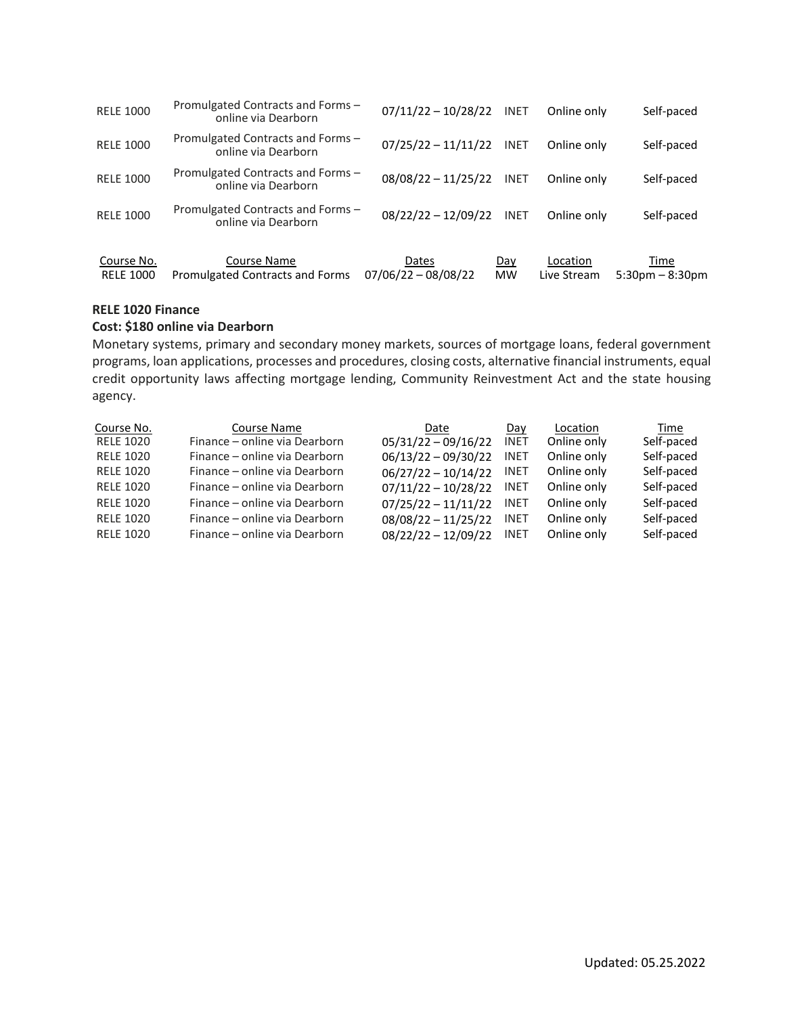| <b>RELE 1000</b>               | Promulgated Contracts and Forms -<br>online via Dearborn | $07/11/22 - 10/28/22$          | <b>INET</b>      | Online only             | Self-paced                   |
|--------------------------------|----------------------------------------------------------|--------------------------------|------------------|-------------------------|------------------------------|
| <b>RELE 1000</b>               | Promulgated Contracts and Forms -<br>online via Dearborn | $07/25/22 - 11/11/22$          | <b>INET</b>      | Online only             | Self-paced                   |
| <b>RELE 1000</b>               | Promulgated Contracts and Forms -<br>online via Dearborn | $08/08/22 - 11/25/22$          | <b>INET</b>      | Online only             | Self-paced                   |
| <b>RELE 1000</b>               | Promulgated Contracts and Forms -<br>online via Dearborn | $08/22/22 - 12/09/22$          | <b>INET</b>      | Online only             | Self-paced                   |
| Course No.<br><b>RELE 1000</b> | Course Name<br>Promulgated Contracts and Forms           | Dates<br>$07/06/22 - 08/08/22$ | Day<br><b>MW</b> | Location<br>Live Stream | Time<br>$5:30$ pm $-8:30$ pm |

#### **RELE 1020 Finance**

#### **Cost: \$180 online via Dearborn**

Monetary systems, primary and secondary money markets, sources of mortgage loans, federal government programs, loan applications, processes and procedures, closing costs, alternative financial instruments, equal credit opportunity laws affecting mortgage lending, Community Reinvestment Act and the state housing agency.

| Course No.       | <b>Course Name</b>            | Date                  | Day         | Location    | Time       |
|------------------|-------------------------------|-----------------------|-------------|-------------|------------|
| <b>RELE 1020</b> | Finance - online via Dearborn | $05/31/22 - 09/16/22$ | <b>INET</b> | Online only | Self-paced |
| <b>RELE 1020</b> | Finance - online via Dearborn | $06/13/22 - 09/30/22$ | <b>INET</b> | Online only | Self-paced |
| <b>RELE 1020</b> | Finance – online via Dearborn | $06/27/22 - 10/14/22$ | <b>INET</b> | Online only | Self-paced |
| <b>RELE 1020</b> | Finance - online via Dearborn | $07/11/22 - 10/28/22$ | <b>INET</b> | Online only | Self-paced |
| <b>RELE 1020</b> | Finance – online via Dearborn | $07/25/22 - 11/11/22$ | <b>INET</b> | Online only | Self-paced |
| <b>RELE 1020</b> | Finance – online via Dearborn | $08/08/22 - 11/25/22$ | <b>INET</b> | Online only | Self-paced |
| <b>RELE 1020</b> | Finance – online via Dearborn | $08/22/22 - 12/09/22$ | <b>INET</b> | Online only | Self-paced |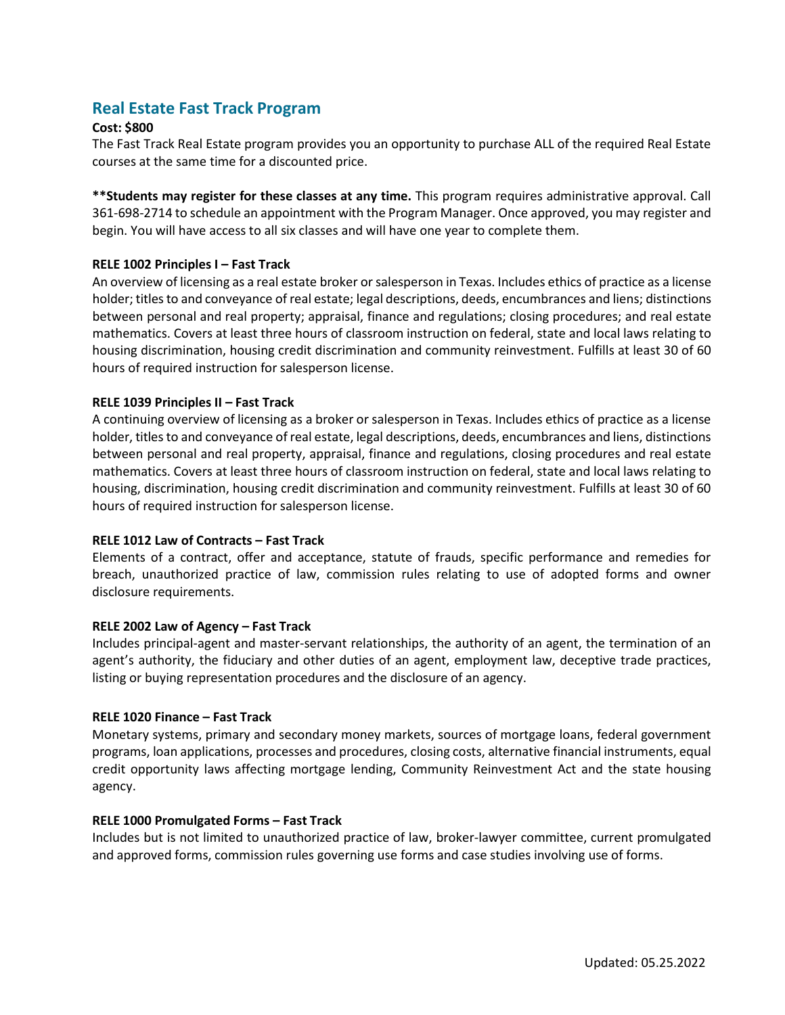# **Real Estate Fast Track Program**

#### **Cost: \$800**

The Fast Track Real Estate program provides you an opportunity to purchase ALL of the required Real Estate courses at the same time for a discounted price.

**\*\*Students may register for these classes at any time.** This program requires administrative approval. Call 361-698-2714 to schedule an appointment with the Program Manager. Once approved, you may register and begin. You will have access to all six classes and will have one year to complete them.

#### **RELE 1002 Principles I – Fast Track**

An overview of licensing as a real estate broker orsalesperson in Texas. Includes ethics of practice as a license holder; titles to and conveyance of real estate; legal descriptions, deeds, encumbrances and liens; distinctions between personal and real property; appraisal, finance and regulations; closing procedures; and real estate mathematics. Covers at least three hours of classroom instruction on federal, state and local laws relating to housing discrimination, housing credit discrimination and community reinvestment. Fulfills at least 30 of 60 hours of required instruction for salesperson license.

#### **RELE 1039 Principles II – Fast Track**

A continuing overview of licensing as a broker or salesperson in Texas. Includes ethics of practice as a license holder, titles to and conveyance of real estate, legal descriptions, deeds, encumbrances and liens, distinctions between personal and real property, appraisal, finance and regulations, closing procedures and real estate mathematics. Covers at least three hours of classroom instruction on federal, state and local laws relating to housing, discrimination, housing credit discrimination and community reinvestment. Fulfills at least 30 of 60 hours of required instruction for salesperson license.

#### **RELE 1012 Law of Contracts – Fast Track**

Elements of a contract, offer and acceptance, statute of frauds, specific performance and remedies for breach, unauthorized practice of law, commission rules relating to use of adopted forms and owner disclosure requirements.

#### **RELE 2002 Law of Agency – Fast Track**

Includes principal-agent and master-servant relationships, the authority of an agent, the termination of an agent's authority, the fiduciary and other duties of an agent, employment law, deceptive trade practices, listing or buying representation procedures and the disclosure of an agency.

#### **RELE 1020 Finance – Fast Track**

Monetary systems, primary and secondary money markets, sources of mortgage loans, federal government programs, loan applications, processes and procedures, closing costs, alternative financial instruments, equal credit opportunity laws affecting mortgage lending, Community Reinvestment Act and the state housing agency.

#### **RELE 1000 Promulgated Forms – Fast Track**

Includes but is not limited to unauthorized practice of law, broker-lawyer committee, current promulgated and approved forms, commission rules governing use forms and case studies involving use of forms.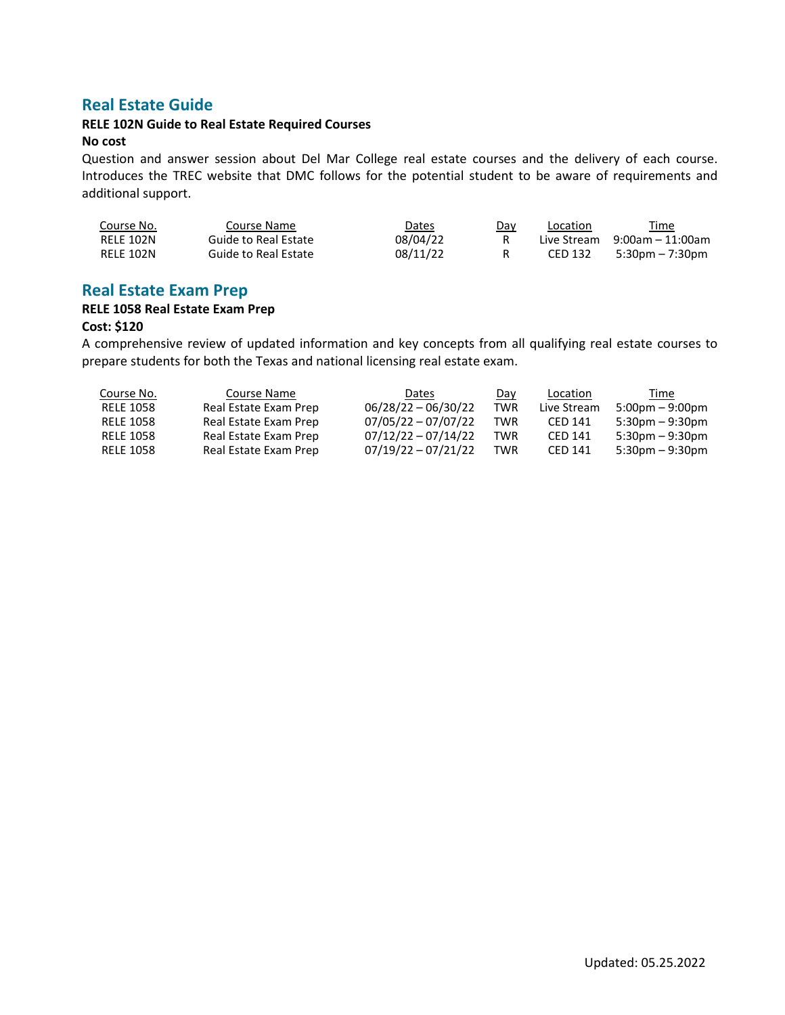# **Real Estate Guide**

#### **RELE 102N Guide to Real Estate Required Courses No cost**

Question and answer session about Del Mar College real estate courses and the delivery of each course. Introduces the TREC website that DMC follows for the potential student to be aware of requirements and additional support.

| Course No. | Course Name          | Dates    | Day | Location | Time                              |
|------------|----------------------|----------|-----|----------|-----------------------------------|
| RELE 102N  | Guide to Real Estate | 08/04/22 |     |          | Live Stream $9:00$ am $-11:00$ am |
| RELE 102N  | Guide to Real Estate | 08/11/22 |     | CED 132  | 5:30pm – 7:30pm                   |

## **Real Estate Exam Prep**

# **RELE 1058 Real Estate Exam Prep**

## **Cost: \$120**

A comprehensive review of updated information and key concepts from all qualifying real estate courses to prepare students for both the Texas and national licensing real estate exam.

| Course No. | Course Name           | Dates                 | Dav | Location    | Time                              |
|------------|-----------------------|-----------------------|-----|-------------|-----------------------------------|
| RELE 1058  | Real Estate Exam Prep | $06/28/22 - 06/30/22$ | TWR | Live Stream | $5:00 \text{pm} - 9:00 \text{pm}$ |
| RELE 1058  | Real Estate Exam Prep | $07/05/22 - 07/07/22$ | TWR | CED 141     | $5:30pm - 9:30pm$                 |
| RELE 1058  | Real Estate Exam Prep | $07/12/22 - 07/14/22$ | TWR | CED 141     | $5:30pm - 9:30pm$                 |
| RELE 1058  | Real Estate Exam Prep | $07/19/22 - 07/21/22$ | TWR | CFD 141     | $5:30pm - 9:30pm$                 |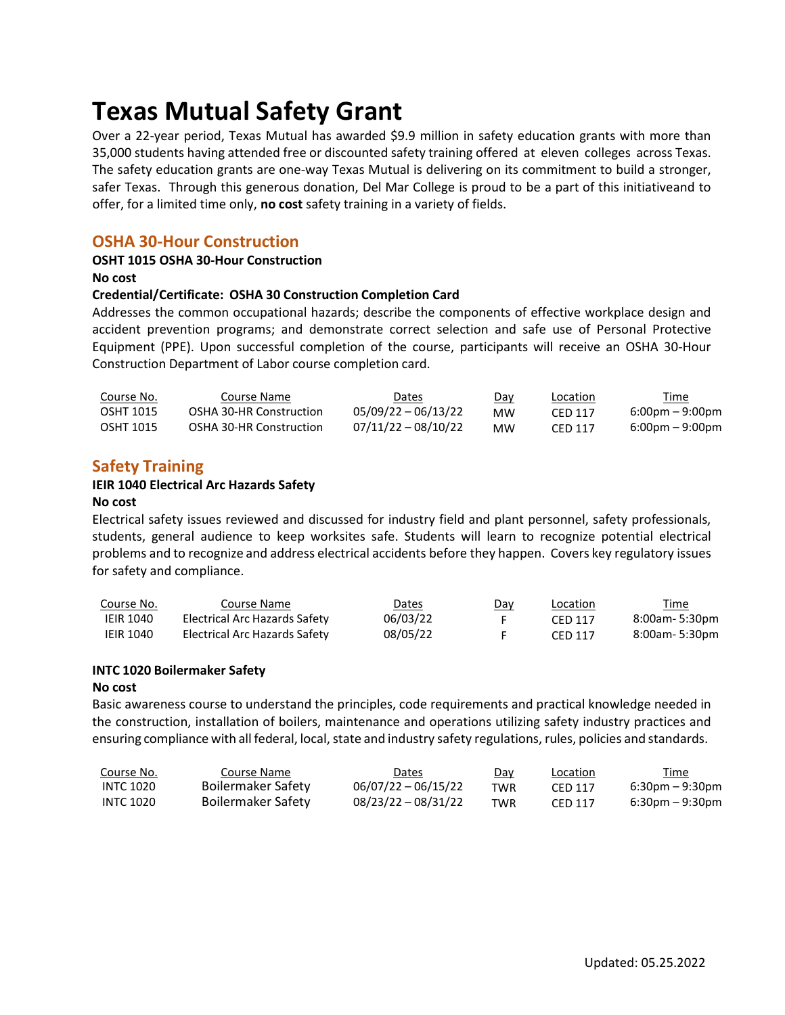# **Texas Mutual Safety Grant**

Over a 22-year period, Texas Mutual has awarded \$9.9 million in safety education grants with more than 35,000 students having attended free or discounted safety training offered at eleven colleges across Texas. The safety education grants are one-way Texas Mutual is delivering on its commitment to build a stronger, safer Texas. Through this generous donation, Del Mar College is proud to be a part of this initiativeand to offer, for a limited time only, **no cost** safety training in a variety of fields.

## **OSHA 30-Hour Construction**

#### **OSHT 1015 OSHA 30-Hour Construction**

**No cost**

#### **Credential/Certificate: OSHA 30 Construction Completion Card**

Addresses the common occupational hazards; describe the components of effective workplace design and accident prevention programs; and demonstrate correct selection and safe use of Personal Protective Equipment (PPE). Upon successful completion of the course, participants will receive an OSHA 30-Hour Construction Department of Labor course completion card.

| Course No. | Course Name             | Dates                 | <u>Day</u> | Location | <u>Time</u>                       |
|------------|-------------------------|-----------------------|------------|----------|-----------------------------------|
| OSHT 1015  | OSHA 30-HR Construction | $05/09/22 - 06/13/22$ | мw         | CFD 117  | $6:00 \text{pm} - 9:00 \text{pm}$ |
| OSHT 1015  | OSHA 30-HR Construction | $07/11/22 - 08/10/22$ | <b>MW</b>  | CFD 117  | $6:00 \text{pm} - 9:00 \text{pm}$ |

## **Safety Training**

#### **IEIR 1040 Electrical Arc Hazards Safety**

#### **No cost**

Electrical safety issues reviewed and discussed for industry field and plant personnel, safety professionals, students, general audience to keep worksites safe. Students will learn to recognize potential electrical problems and to recognize and address electrical accidents before they happen. Covers key regulatory issues for safety and compliance.

| Course No.       | Course Name                   | Dates    | Day | Location       | <u>Time</u>    |
|------------------|-------------------------------|----------|-----|----------------|----------------|
| <b>IEIR 1040</b> | Electrical Arc Hazards Safety | 06/03/22 |     | CFD 117        | 8:00am- 5:30pm |
| <b>IEIR 1040</b> | Electrical Arc Hazards Safety | 08/05/22 |     | <b>CED 117</b> | 8:00am- 5:30pm |

#### **INTC 1020 Boilermaker Safety**

#### **No cost**

Basic awareness course to understand the principles, code requirements and practical knowledge needed in the construction, installation of boilers, maintenance and operations utilizing safety industry practices and ensuring compliance with all federal, local, state and industry safety regulations, rules, policies and standards.

| Course No.       | Course Name        | Dates                 | <u>Day</u> | <b>Location</b> | Time                              |
|------------------|--------------------|-----------------------|------------|-----------------|-----------------------------------|
| INTC 1020        | Boilermaker Safety | $06/07/22 - 06/15/22$ | TWR        | CFD 117         | $6:30 \text{pm} - 9:30 \text{pm}$ |
| <b>INTC 1020</b> | Boilermaker Safety | $08/23/22 - 08/31/22$ | TWR        | CED 117         | $6:30$ pm – 9:30pm                |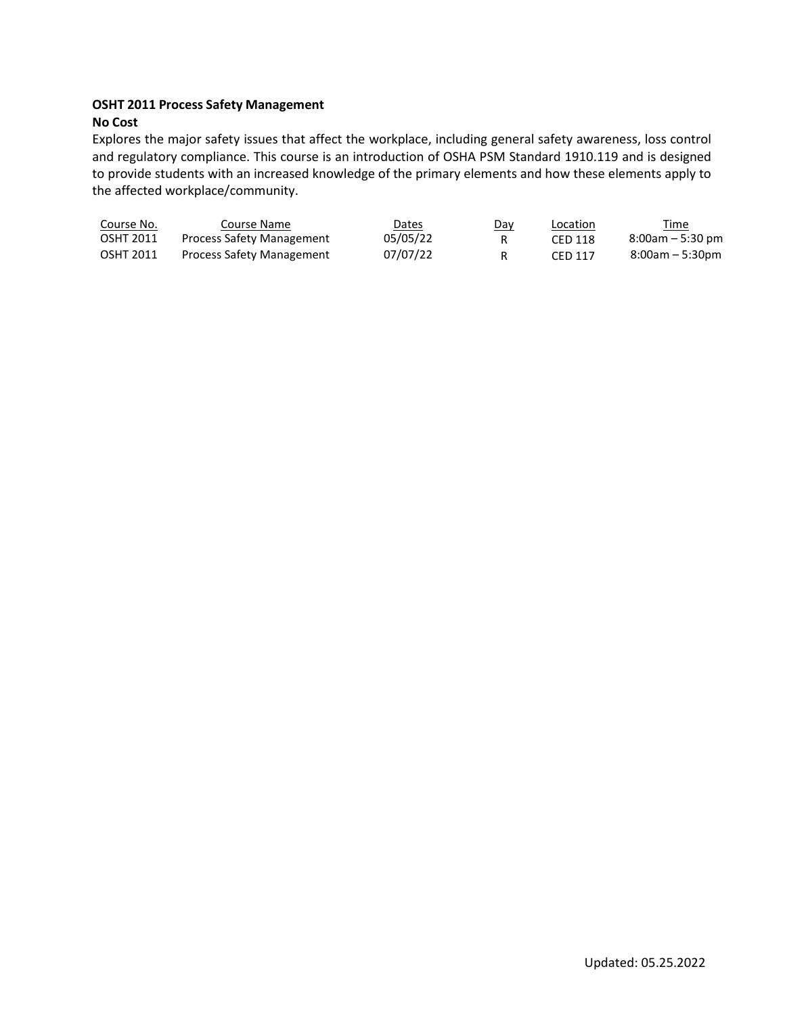#### **OSHT 2011 Process Safety Management No Cost**

Explores the major safety issues that affect the workplace, including general safety awareness, loss control and regulatory compliance. This course is an introduction of OSHA PSM Standard 1910.119 and is designed to provide students with an increased knowledge of the primary elements and how these elements apply to the affected workplace/community.

| Course No. | Course Name                      | Dates    | Day | Location | Time                 |
|------------|----------------------------------|----------|-----|----------|----------------------|
| OSHT 2011  | <b>Process Safety Management</b> | 05/05/22 |     | CFD 118  | $8:00$ am $-5:30$ pm |
| OSHT 2011  | <b>Process Safety Management</b> | 07/07/22 |     | CED 117  | $8:00am - 5:30pm$    |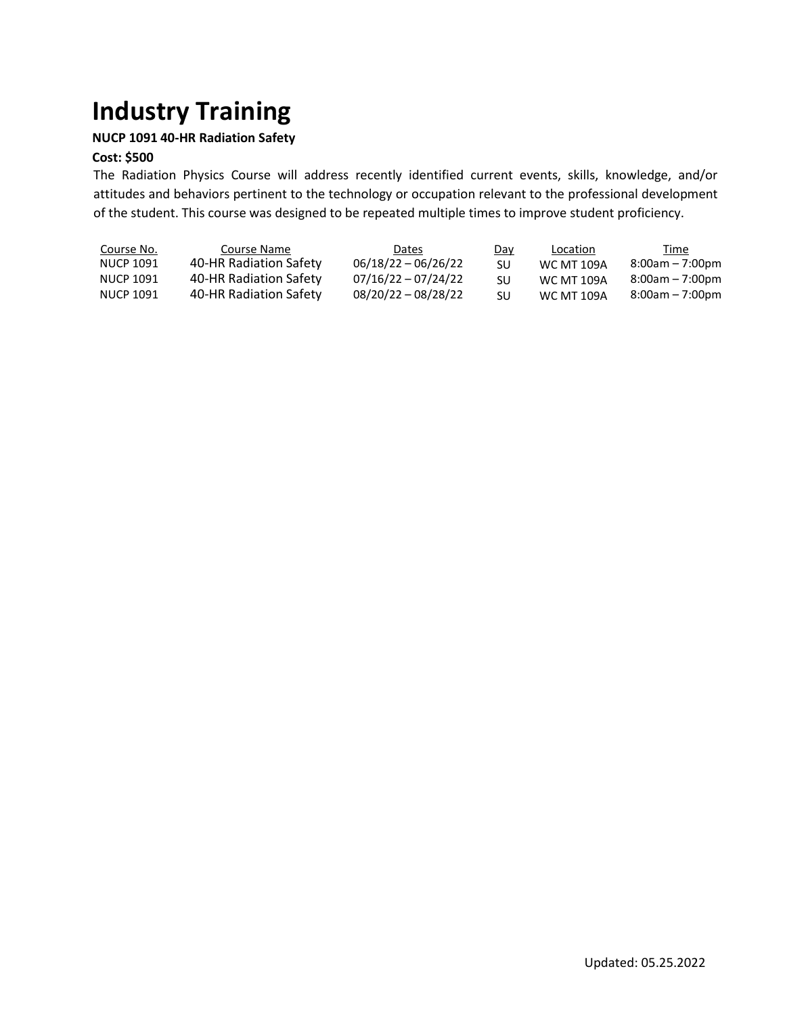# **Industry Training**

## **NUCP 1091 40-HR Radiation Safety**

## **Cost: \$500**

The Radiation Physics Course will address recently identified current events, skills, knowledge, and/or attitudes and behaviors pertinent to the technology or occupation relevant to the professional development of the student. This course was designed to be repeated multiple times to improve student proficiency.

| Course No.<br>NUCP 1091 | Course Name<br>40-HR Radiation Safety | <b>Dates</b><br>$06/18/22 - 06/26/22$ | Day<br>SU | Location<br><b>WC MT 109A</b> | Time<br>$8:00am - 7:00pm$ |
|-------------------------|---------------------------------------|---------------------------------------|-----------|-------------------------------|---------------------------|
| NUCP 1091               | 40-HR Radiation Safety                | $07/16/22 - 07/24/22$                 | SU        | <b>WC MT 109A</b>             | $8:00am - 7:00pm$         |
| NUCP 1091               | 40-HR Radiation Safety                | $08/20/22 - 08/28/22$                 | SU        | <b>WC MT 109A</b>             | $8:00am - 7:00pm$         |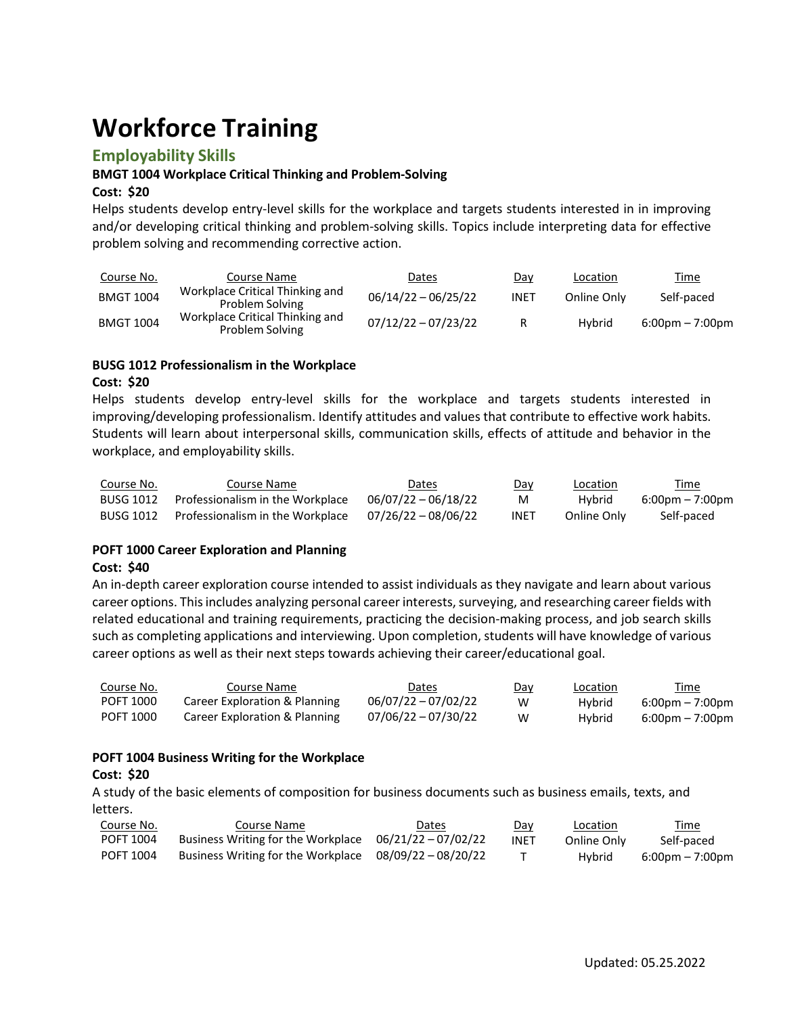# **Workforce Training**

## **Employability Skills**

#### **BMGT 1004 Workplace Critical Thinking and Problem-Solving**

#### **Cost: \$20**

Helps students develop entry-level skills for the workplace and targets students interested in in improving and/or developing critical thinking and problem-solving skills. Topics include interpreting data for effective problem solving and recommending corrective action.

| Course No.       | Course Name                                        | <u>Dates</u>          | Day         | Location    | <u>Time</u>                       |
|------------------|----------------------------------------------------|-----------------------|-------------|-------------|-----------------------------------|
| <b>BMGT 1004</b> | Workplace Critical Thinking and<br>Problem Solving | $06/14/22 - 06/25/22$ | <b>INET</b> | Online Only | Self-paced                        |
| <b>BMGT 1004</b> | Workplace Critical Thinking and<br>Problem Solving | $07/12/22 - 07/23/22$ | R           | Hybrid      | $6:00 \text{pm} - 7:00 \text{pm}$ |

#### **BUSG 1012 Professionalism in the Workplace Cost: \$20**

Helps students develop entry-level skills for the workplace and targets students interested in improving/developing professionalism. Identify attitudes and values that contribute to effective work habits. Students will learn about interpersonal skills, communication skills, effects of attitude and behavior in the workplace, and employability skills.

| Course No.       | Course Name                      | Dates               | Day  | Location    | Time                              |
|------------------|----------------------------------|---------------------|------|-------------|-----------------------------------|
| <b>BUSG 1012</b> | Professionalism in the Workplace | 06/07/22 - 06/18/22 | M    | Hybrid      | $6:00 \text{pm} - 7:00 \text{pm}$ |
| <b>BUSG 1012</b> | Professionalism in the Workplace | 07/26/22 - 08/06/22 | INET | Online Only | Self-paced                        |

#### **POFT 1000 Career Exploration and Planning**

#### **Cost: \$40**

An in-depth career exploration course intended to assist individuals as they navigate and learn about various career options. This includes analyzing personal career interests, surveying, and researching career fields with related educational and training requirements, practicing the decision-making process, and job search skills such as completing applications and interviewing. Upon completion, students will have knowledge of various career options as well as their next steps towards achieving their career/educational goal.

| Course No. | Course Name                   | Dates                 | Day | <b>Location</b> | <u>Time</u>                       |
|------------|-------------------------------|-----------------------|-----|-----------------|-----------------------------------|
| POFT 1000  | Career Exploration & Planning | $06/07/22 - 07/02/22$ | w   | Hybrid          | $6:00 \text{pm} - 7:00 \text{pm}$ |
| POFT 1000  | Career Exploration & Planning | $07/06/22 - 07/30/22$ | w   | Hybrid          | $6:00 \text{pm} - 7:00 \text{pm}$ |

#### **POFT 1004 Business Writing for the Workplace**

#### **Cost: \$20**

A study of the basic elements of composition for business documents such as business emails, texts, and letters.

| Course No.       | Course Name                                              | Dates | Dav         | Location    | Time                              |
|------------------|----------------------------------------------------------|-------|-------------|-------------|-----------------------------------|
| POFT 1004        | Business Writing for the Workplace $06/21/22 - 07/02/22$ |       | <b>INET</b> | Online Only | Self-paced                        |
| <b>POFT 1004</b> | Business Writing for the Workplace $08/09/22 - 08/20/22$ |       |             | Hybrid      | $6:00 \text{pm} - 7:00 \text{pm}$ |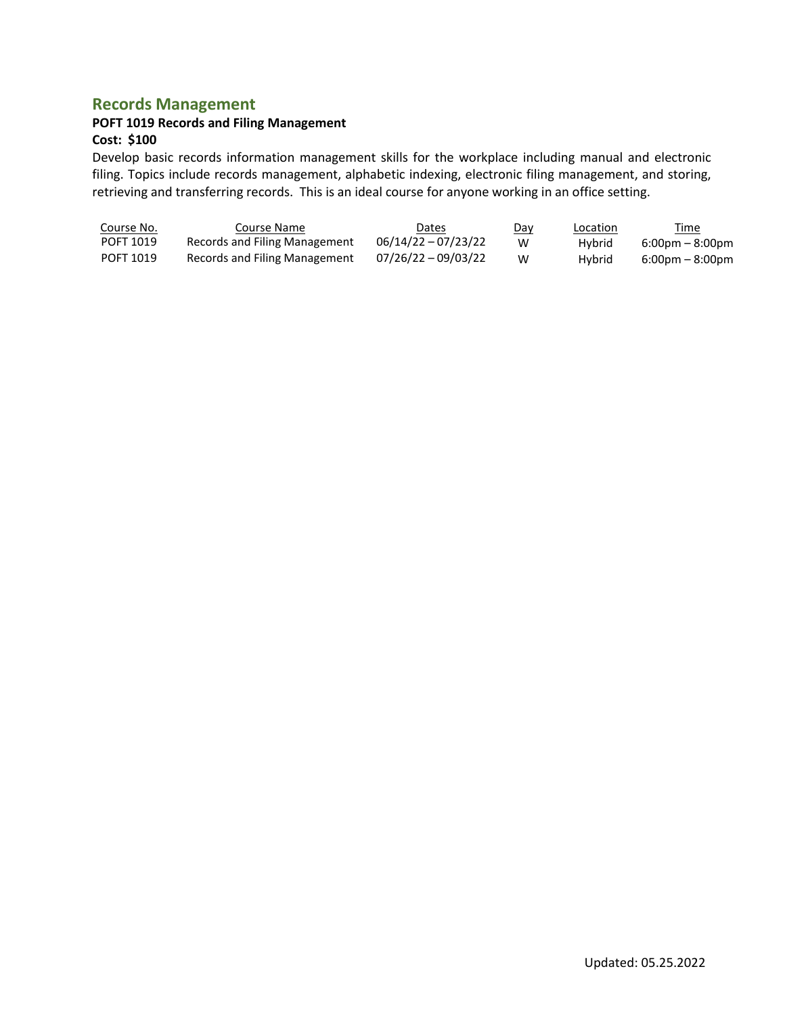## **Records Management**

## **POFT 1019 Records and Filing Management**

#### **Cost: \$100**

Develop basic records information management skills for the workplace including manual and electronic filing. Topics include records management, alphabetic indexing, electronic filing management, and storing, retrieving and transferring records. This is an ideal course for anyone working in an office setting.

| <u>Course No.</u> | Course Name                   | Dates                 | <u>Day</u> | <b>Location</b> | <u>Time</u>                       |
|-------------------|-------------------------------|-----------------------|------------|-----------------|-----------------------------------|
| POFT 1019         | Records and Filing Management | $06/14/22 - 07/23/22$ | w          | Hybrid          | $6:00 \text{pm} - 8:00 \text{pm}$ |
| POFT 1019         | Records and Filing Management | 07/26/22 - 09/03/22   | W          | Hybrid          | $6:00 \text{pm} - 8:00 \text{pm}$ |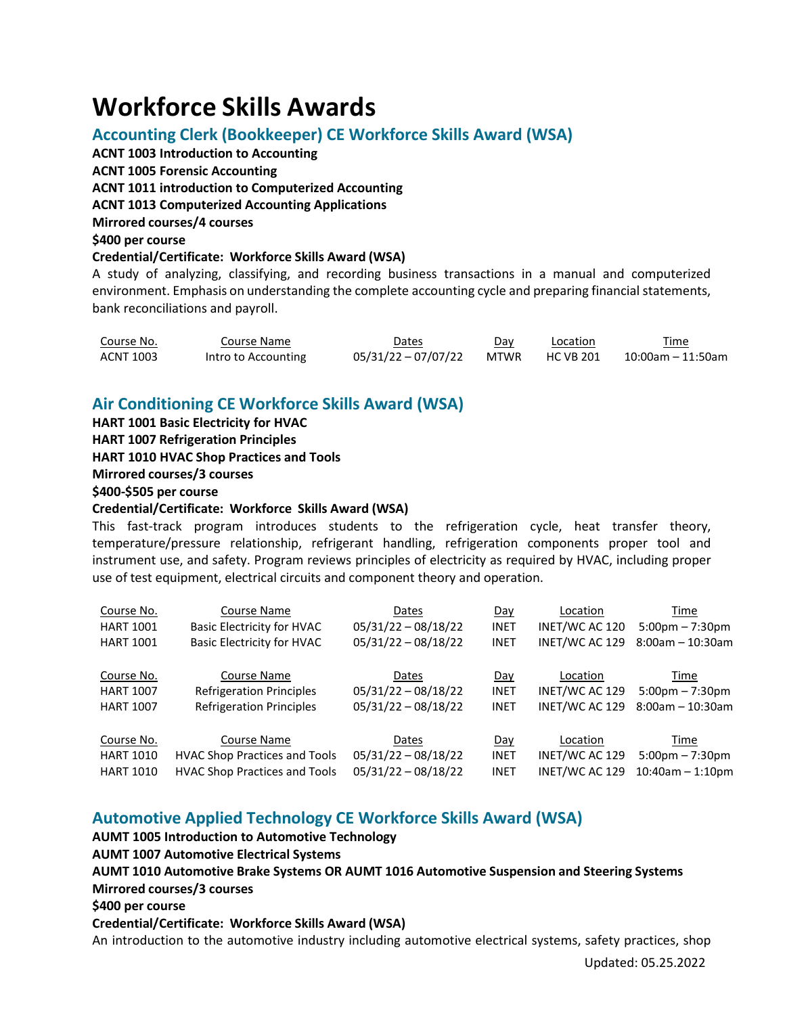# **Workforce Skills Awards**

# **Accounting Clerk (Bookkeeper) CE Workforce Skills Award (WSA)**

**ACNT 1003 Introduction to Accounting ACNT 1005 Forensic Accounting ACNT 1011 introduction to Computerized Accounting ACNT 1013 Computerized Accounting Applications Mirrored courses/4 courses \$400 per course Credential/Certificate: Workforce Skills Award (WSA)**

A study of analyzing, classifying, and recording business transactions in a manual and computerized environment. Emphasis on understanding the complete accounting cycle and preparing financial statements, bank reconciliations and payroll.

| Course No. | Course Name         | Dates                           | Dav | Location | Time              |
|------------|---------------------|---------------------------------|-----|----------|-------------------|
| ACNT 1003  | Intro to Accounting | 05/31/22-07/07/22 MTWR HCVB 201 |     |          | 10:00am – 11:50am |

# **Air Conditioning CE Workforce Skills Award (WSA)**

**HART 1001 Basic Electricity for HVAC HART 1007 Refrigeration Principles HART 1010 HVAC Shop Practices and Tools Mirrored courses/3 courses \$400-\$505 per course Credential/Certificate: Workforce Skills Award (WSA)**

This fast-track program introduces students to the refrigeration cycle, heat transfer theory, temperature/pressure relationship, refrigerant handling, refrigeration components proper tool and instrument use, and safety. Program reviews principles of electricity as required by HVAC, including proper use of test equipment, electrical circuits and component theory and operation.

| Course No.       | Course Name                          | Dates                 | Day         | Location       | Time                              |
|------------------|--------------------------------------|-----------------------|-------------|----------------|-----------------------------------|
| <b>HART 1001</b> | <b>Basic Electricity for HVAC</b>    | $05/31/22 - 08/18/22$ | <b>INET</b> | INET/WC AC 120 | $5:00 \text{pm} - 7:30 \text{pm}$ |
| <b>HART 1001</b> | <b>Basic Electricity for HVAC</b>    | $05/31/22 - 08/18/22$ | <b>INET</b> | INET/WC AC 129 | $8:00am - 10:30am$                |
|                  |                                      |                       |             |                |                                   |
| Course No.       | Course Name                          | Dates                 | Day         | Location       | Time                              |
| <b>HART 1007</b> | <b>Refrigeration Principles</b>      | $05/31/22 - 08/18/22$ | <b>INET</b> | INET/WC AC 129 | $5:00 \text{pm} - 7:30 \text{pm}$ |
| <b>HART 1007</b> | <b>Refrigeration Principles</b>      | $05/31/22 - 08/18/22$ | <b>INET</b> | INET/WC AC 129 | $8:00am - 10:30am$                |
|                  |                                      |                       |             |                |                                   |
| Course No.       | Course Name                          | Dates                 | Day         | Location       | Time                              |
| <b>HART 1010</b> | <b>HVAC Shop Practices and Tools</b> | $05/31/22 - 08/18/22$ | <b>INET</b> | INET/WC AC 129 | $5:00 \text{pm} - 7:30 \text{pm}$ |
| <b>HART 1010</b> | <b>HVAC Shop Practices and Tools</b> | $05/31/22 - 08/18/22$ | <b>INET</b> | INET/WC AC 129 | $10:40$ am $-1:10$ pm             |

# **Automotive Applied Technology CE Workforce Skills Award (WSA)**

**AUMT 1005 Introduction to Automotive Technology AUMT 1007 Automotive Electrical Systems AUMT 1010 Automotive Brake Systems OR AUMT 1016 Automotive Suspension and Steering Systems Mirrored courses/3 courses \$400 per course Credential/Certificate: Workforce Skills Award (WSA)** An introduction to the automotive industry including automotive electrical systems, safety practices, shop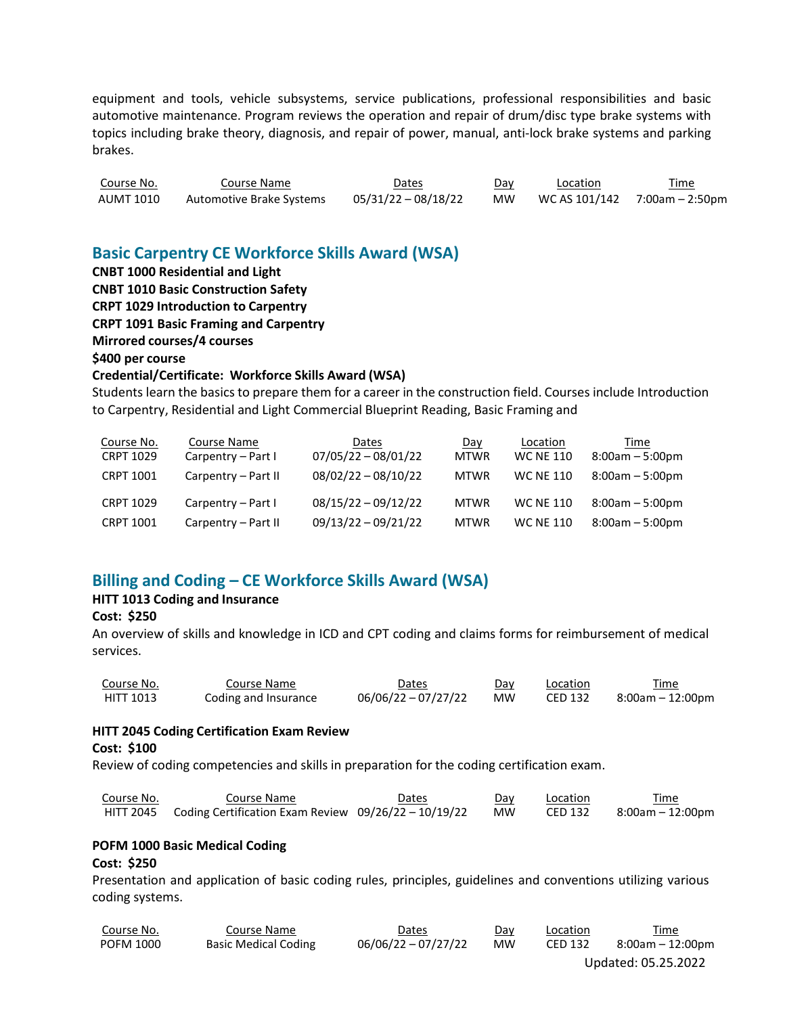equipment and tools, vehicle subsystems, service publications, professional responsibilities and basic automotive maintenance. Program reviews the operation and repair of drum/disc type brake systems with topics including brake theory, diagnosis, and repair of power, manual, anti-lock brake systems and parking brakes.

| Course No. | Course Name              | Dates               | <u>Day</u> | Location | <u>Time</u>                     |
|------------|--------------------------|---------------------|------------|----------|---------------------------------|
| AUMT 1010  | Automotive Brake Systems | 05/31/22 - 08/18/22 | MW         |          | WC AS $101/142$ 7:00am - 2:50pm |

# **Basic Carpentry CE Workforce Skills Award (WSA)**

**CNBT 1000 Residential and Light CNBT 1010 Basic Construction Safety CRPT 1029 Introduction to Carpentry CRPT 1091 Basic Framing and Carpentry Mirrored courses/4 courses \$400 per course Credential/Certificate: Workforce Skills Award (WSA)**

Students learn the basics to prepare them for a career in the construction field. Courses include Introduction to Carpentry, Residential and Light Commercial Blueprint Reading, Basic Framing and

| Course No.<br><b>CRPT 1029</b> | Course Name<br>Carpentry - Part I | Dates<br>$07/05/22 - 08/01/22$ | Day<br><b>MTWR</b> | Location<br><b>WC NE 110</b> | Time<br>$8:00am - 5:00pm$ |
|--------------------------------|-----------------------------------|--------------------------------|--------------------|------------------------------|---------------------------|
| <b>CRPT 1001</b>               | Carpentry - Part II               | $08/02/22 - 08/10/22$          | <b>MTWR</b>        | <b>WC NE 110</b>             | $8:00am - 5:00pm$         |
| <b>CRPT 1029</b>               | Carpentry - Part I                | $08/15/22 - 09/12/22$          | <b>MTWR</b>        | <b>WC NE 110</b>             | $8:00am - 5:00pm$         |
| <b>CRPT 1001</b>               | Carpentry - Part II               | $09/13/22 - 09/21/22$          | <b>MTWR</b>        | <b>WC NE 110</b>             | $8:00am - 5:00pm$         |

# **Billing and Coding – CE Workforce Skills Award (WSA)**

## **HITT 1013 Coding and Insurance**

## **Cost: \$250**

An overview of skills and knowledge in ICD and CPT coding and claims forms for reimbursement of medical services.

| Course No. | Course Name          | Dates                 | Day       | Location       | Time             |
|------------|----------------------|-----------------------|-----------|----------------|------------------|
| HITT 1013  | Coding and Insurance | $06/06/22 - 07/27/22$ | <b>MW</b> | <b>CED 132</b> | 8:00am – 12:00pm |

#### **HITT 2045 Coding Certification Exam Review**

#### **Cost: \$100**

Review of coding competencies and skills in preparation for the coding certification exam.

| Course No. | Course Name                                                    | Dates | Day | Location | Time             |
|------------|----------------------------------------------------------------|-------|-----|----------|------------------|
|            | HITT 2045 Coding Certification Exam Review 09/26/22 - 10/19/22 |       | MW  | CED 132  | 8:00am – 12:00pm |

#### **POFM 1000 Basic Medical Coding**

#### **Cost: \$250**

Presentation and application of basic coding rules, principles, guidelines and conventions utilizing various coding systems.

| Course No.       | Course Name                 | Dates               | Day       | Location       | Time             |
|------------------|-----------------------------|---------------------|-----------|----------------|------------------|
| <b>POFM 1000</b> | <b>Basic Medical Coding</b> | 06/06/22 - 07/27/22 | <b>MW</b> | <b>CED 132</b> | 8:00am – 12:00pm |

Updated: 05.25.2022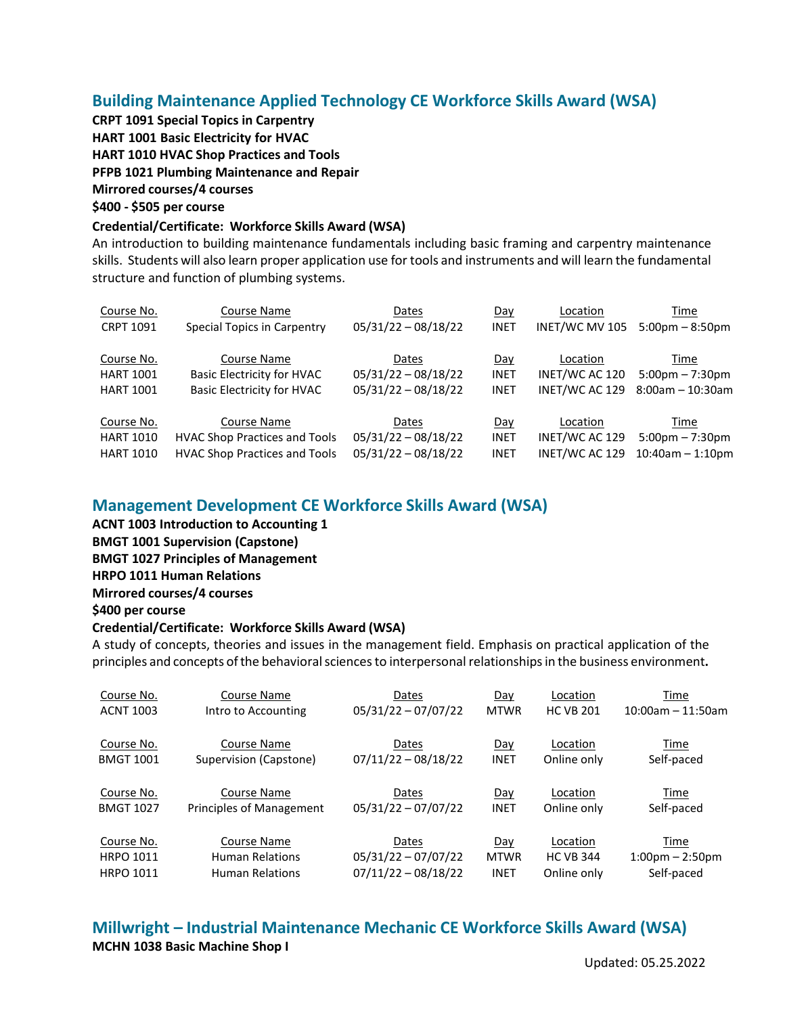# **Building Maintenance Applied Technology CE Workforce Skills Award (WSA)**

**CRPT 1091 Special Topics in Carpentry HART 1001 Basic Electricity for HVAC HART 1010 HVAC Shop Practices and Tools PFPB 1021 Plumbing Maintenance and Repair Mirrored courses/4 courses \$400 - \$505 per course**

#### **Credential/Certificate: Workforce Skills Award (WSA)**

An introduction to building maintenance fundamentals including basic framing and carpentry maintenance skills. Students will also learn proper application use for tools and instruments and will learn the fundamental structure and function of plumbing systems.

| Course No.       | Course Name                          | Dates                 | Day         | Location       | Time                              |
|------------------|--------------------------------------|-----------------------|-------------|----------------|-----------------------------------|
| <b>CRPT 1091</b> | Special Topics in Carpentry          | $05/31/22 - 08/18/22$ | <b>INET</b> | INET/WC MV 105 | $5:00 \text{pm} - 8:50 \text{pm}$ |
| Course No.       | Course Name                          | Dates                 | Day         | Location       | Time                              |
| <b>HART 1001</b> | <b>Basic Electricity for HVAC</b>    | $05/31/22 - 08/18/22$ | <b>INET</b> | INET/WC AC 120 | $5:00 \text{pm} - 7:30 \text{pm}$ |
| <b>HART 1001</b> | <b>Basic Electricity for HVAC</b>    | $05/31/22 - 08/18/22$ | <b>INET</b> | INET/WC AC 129 | $8:00am - 10:30am$                |
| Course No.       | Course Name                          | Dates                 | Day         | Location       | Time                              |
| <b>HART 1010</b> | <b>HVAC Shop Practices and Tools</b> | $05/31/22 - 08/18/22$ | <b>INET</b> | INET/WC AC 129 | $5:00 \text{pm} - 7:30 \text{pm}$ |
| <b>HART 1010</b> | <b>HVAC Shop Practices and Tools</b> | $05/31/22 - 08/18/22$ | <b>INET</b> | INET/WC AC 129 | $10:40$ am $-1:10$ pm             |

## **Management Development CE Workforce Skills Award (WSA)**

- **ACNT 1003 Introduction to Accounting 1 BMGT 1001 Supervision (Capstone)**
- **BMGT 1027 Principles of Management**

# **HRPO 1011 Human Relations**

**Mirrored courses/4 courses**

## **\$400 per course**

## **Credential/Certificate: Workforce Skills Award (WSA)**

A study of concepts, theories and issues in the management field. Emphasis on practical application of the principles and concepts ofthe behavioralsciencesto interpersonalrelationshipsin the business environment**.**

| Course No.       | Course Name              | Dates                 | Day         | Location         | Time                              |
|------------------|--------------------------|-----------------------|-------------|------------------|-----------------------------------|
| <b>ACNT 1003</b> | Intro to Accounting      | $05/31/22 - 07/07/22$ | <b>MTWR</b> | <b>HC VB 201</b> | $10:00$ am - 11:50am              |
| Course No.       | Course Name              | Dates                 | Day         | Location         | Time                              |
| <b>BMGT 1001</b> | Supervision (Capstone)   | $07/11/22 - 08/18/22$ | <b>INET</b> | Online only      | Self-paced                        |
| Course No.       | Course Name              | Dates                 | Day         | Location         | Time                              |
| <b>BMGT 1027</b> | Principles of Management | $05/31/22 - 07/07/22$ | <b>INET</b> | Online only      | Self-paced                        |
| Course No.       | Course Name              | Dates                 | Day         | Location         | Time                              |
| <b>HRPO 1011</b> | <b>Human Relations</b>   | $05/31/22 - 07/07/22$ | <b>MTWR</b> | <b>HC VB 344</b> | $1:00 \text{pm} - 2:50 \text{pm}$ |
| <b>HRPO 1011</b> | <b>Human Relations</b>   | $07/11/22 - 08/18/22$ | <b>INET</b> | Online only      | Self-paced                        |

**Millwright – Industrial Maintenance Mechanic CE Workforce Skills Award (WSA) MCHN 1038 Basic Machine Shop I**